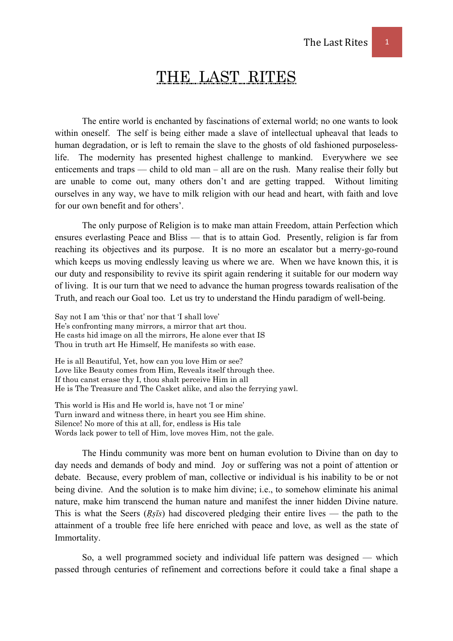# THE LAST RITES

 The entire world is enchanted by fascinations of external world; no one wants to look within oneself. The self is being either made a slave of intellectual upheaval that leads to human degradation, or is left to remain the slave to the ghosts of old fashioned purposelesslife. The modernity has presented highest challenge to mankind. Everywhere we see enticements and traps — child to old man – all are on the rush. Many realise their folly but are unable to come out, many others don't and are getting trapped. Without limiting ourselves in any way, we have to milk religion with our head and heart, with faith and love for our own benefit and for others'.

 The only purpose of Religion is to make man attain Freedom, attain Perfection which ensures everlasting Peace and Bliss — that is to attain God. Presently, religion is far from reaching its objectives and its purpose. It is no more an escalator but a merry-go-round which keeps us moving endlessly leaving us where we are. When we have known this, it is our duty and responsibility to revive its spirit again rendering it suitable for our modern way of living. It is our turn that we need to advance the human progress towards realisation of the Truth, and reach our Goal too. Let us try to understand the Hindu paradigm of well-being.

Say not I am 'this or that' nor that 'I shall love' He's confronting many mirrors, a mirror that art thou. He casts hid image on all the mirrors, He alone ever that IS Thou in truth art He Himself, He manifests so with ease.

He is all Beautiful, Yet, how can you love Him or see? Love like Beauty comes from Him, Reveals itself through thee. If thou canst erase thy I, thou shalt perceive Him in all He is The Treasure and The Casket alike, and also the ferrying yawl.

This world is His and He world is, have not 'I or mine' Turn inward and witness there, in heart you see Him shine. Silence! No more of this at all, for, endless is His tale Words lack power to tell of Him, love moves Him, not the gale.

The Hindu community was more bent on human evolution to Divine than on day to day needs and demands of body and mind. Joy or suffering was not a point of attention or debate. Because, every problem of man, collective or individual is his inability to be or not being divine. And the solution is to make him divine; i.e., to somehow eliminate his animal nature, make him transcend the human nature and manifest the inner hidden Divine nature. This is what the Seers (*Rsīs*) had discovered pledging their entire lives — the path to the attainment of a trouble free life here enriched with peace and love, as well as the state of Immortality.

 So, a well programmed society and individual life pattern was designed — which passed through centuries of refinement and corrections before it could take a final shape a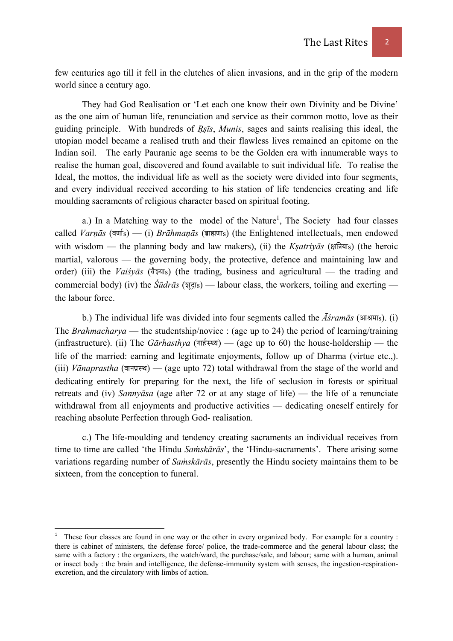few centuries ago till it fell in the clutches of alien invasions, and in the grip of the modern world since a century ago.

 They had God Realisation or 'Let each one know their own Divinity and be Divine' as the one aim of human life, renunciation and service as their common motto, love as their guiding principle. With hundreds of *Ṛṣīs*, *Munis*, sages and saints realising this ideal, the utopian model became a realised truth and their flawless lives remained an epitome on the Indian soil. The early Pauranic age seems to be the Golden era with innumerable ways to realise the human goal, discovered and found available to suit individual life. To realise the Ideal, the mottos, the individual life as well as the society were divided into four segments, and every individual received according to his station of life tendencies creating and life moulding sacraments of religious character based on spiritual footing.

a.) In a Matching way to the model of the Nature<sup>1</sup>, The Society had four classes called *Varnās* (वर्णाs) — (i) *Brāhmaṇās* (ब्राह्मणाs) (the Enlightened intellectuals, men endowed with wisdom — the planning body and law makers), (ii) the *Ksatriy* $\bar{a}$ <sup>5</sup> (and  $\bar{a}$ ) (the heroic martial, valorous — the governing body, the protective, defence and maintaining law and order) (iii) the *Vaišvās* ( $\frac{2}{3}$ *z* $\frac{3}{2}$ *s*) (the trading, business and agricultural — the trading and commercial body) (iv) the  $\hat{S} \bar{u} dr \bar{a} s$  ( $\bar{z}$ ) — labour class, the workers, toiling and exerting the labour force.

b.) The individual life was divided into four segments called the  $\overline{A}$ *sram* $\overline{a}$ <sup>*s*</sup> (आश्रमा<sub>s</sub>). (i) The *Brahmacharya* — the studentship/novice : (age up to 24) the period of learning/training (infrastructure). (ii) The *G* $\bar{a}$ *rhasthya* ( $\bar{m}\neq$ EUF) — (age up to 60) the house-holdership — the life of the married: earning and legitimate enjoyments, follow up of Dharma (virtue etc.,).  $(iii)$  *V* $\bar{a}$ *naprastha* ( $\bar{a}$  $\bar{b}$  ( $\bar{a}$ ) — (age upto 72) total withdrawal from the stage of the world and dedicating entirely for preparing for the next, the life of seclusion in forests or spiritual retreats and (iv) *Sannyāsa* (age after 72 or at any stage of life) — the life of a renunciate withdrawal from all enjoyments and productive activities — dedicating oneself entirely for reaching absolute Perfection through God- realisation.

 c.) The life-moulding and tendency creating sacraments an individual receives from time to time are called 'the Hindu *Saṁskārās*', the 'Hindu-sacraments'. There arising some variations regarding number of *Saṁskārās*, presently the Hindu society maintains them to be sixteen, from the conception to funeral.

<sup>1</sup> These four classes are found in one way or the other in every organized body. For example for a country : there is cabinet of ministers, the defense force/ police, the trade-commerce and the general labour class; the same with a factory : the organizers, the watch/ward, the purchase/sale, and labour; same with a human, animal or insect body : the brain and intelligence, the defense-immunity system with senses, the ingestion-respirationexcretion, and the circulatory with limbs of action.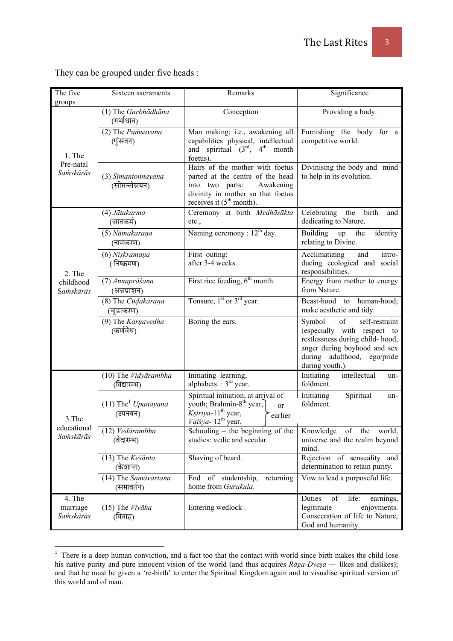They can be grouped under five heads :

| The five<br>groups                | Sixteen sacraments                           | Remarks                                                                                                                                                                    | Significance                                                                                                                                                                       |
|-----------------------------------|----------------------------------------------|----------------------------------------------------------------------------------------------------------------------------------------------------------------------------|------------------------------------------------------------------------------------------------------------------------------------------------------------------------------------|
| 1. The<br>Pre-natal<br>Samskārās  | (1) The Garbhādhāna<br>(गर्भाधान)            | Conception                                                                                                                                                                 | Providing a body.                                                                                                                                                                  |
|                                   | (2) The Pumsavana<br>(पुंसवन)                | Man making; i.e., awakening all<br>capabilities physical, intellectual<br>and spiritual $(3^{rd}, 4^{th})$<br>month<br>foetus).                                            | Furnishing the body for a<br>competitive world.                                                                                                                                    |
|                                   | (3) Sīmantonnayana<br>(सीमन्तोन्नयन)         | Hairs of the mother with foetus<br>parted at the centre of the head<br>into two parts:<br>Awakening<br>divinity in mother so that foetus<br>receives it $(5th month)$ .    | Divinising the body and mind<br>to help in its evolution.                                                                                                                          |
| 2. The<br>childhood<br>Samskārās  | (4) Jātakarma<br>(जातकर्म)                   | Ceremony at birth Medhāsūkta<br>etc.,                                                                                                                                      | Celebrating<br>the<br>birth<br>and<br>dedicating to Nature.                                                                                                                        |
|                                   | (5) Nāmakaraņa<br>(नामकरण)                   | Naming ceremony : $12th$ day.                                                                                                                                              | Building<br>the<br>identity<br>up<br>relating to Divine.                                                                                                                           |
|                                   | (6) Nişkramana<br>(निष्क्रमण)                | First outing:<br>after 3-4 weeks.                                                                                                                                          | Acclimatizing<br>and<br>intro-<br>ducing ecological and social<br>responsibilities.                                                                                                |
|                                   | (7) Annaprāśana<br>(अन्नप्राशन)              | First rice feeding, $6th$ month.                                                                                                                                           | Energy from mother to energy<br>from Nature.                                                                                                                                       |
|                                   | (8) The Cūdākaraņa<br>(चूडाकरण)              | Tonsure, $1st$ or $3rd$ year.                                                                                                                                              | to human-hood;<br>Beast-hood<br>make aesthetic and tidy.                                                                                                                           |
|                                   | (9) The Karnavedha<br>(कर्णवेध)              | Boring the ears.                                                                                                                                                           | of<br>Symbol<br>self-restraint<br>(especially with respect to<br>restlessness during child-hood,<br>anger during boyhood and sex<br>during adulthood, ego/pride<br>during youth.). |
| 3.The<br>educational<br>Samskārās | (10) The Vidyārambha<br>(विद्यारम्भ)         | Initiating learning,<br>alphabets : $3rd$ year.                                                                                                                            | intellectual<br>Initiating<br>un-<br>foldment.                                                                                                                                     |
|                                   | $(11)$ The <sup>1</sup> Upanayana<br>(उपनयन) | Spiritual initiation, at arrival of<br>youth; Brahmin-8 <sup>th</sup> year,<br><sub>or</sub><br>Kstriya-11 <sup>th</sup> year,<br>earlier<br>Vaisya-12 <sup>th</sup> year, | Initiating<br>Spiritual<br>un-<br>foldment.                                                                                                                                        |
|                                   | (12) Vedārambha<br>(वेदारम्भ)                | Schooling - the beginning of the<br>studies: vedic and secular                                                                                                             | Knowledge of the world,<br>universe and the realm beyond<br>mind.                                                                                                                  |
|                                   | (13) The Keśānta<br>(केशान्त)                | Shaving of beard.                                                                                                                                                          | Rejection of sensuality and<br>determination to retain purity.                                                                                                                     |
|                                   | (14) The Samāvartana<br>(समावर्तन)           | of studentship,<br>End<br>returning<br>home from Gurukula.                                                                                                                 | Vow to lead a purposeful life.                                                                                                                                                     |
| 4. The<br>marriage<br>Samskārās   | $(15)$ The Vivaha<br>(विवाह)                 | Entering wedlock.                                                                                                                                                          | Duties<br>of<br>life:<br>earnings,<br>legitimate<br>enjoyments.<br>Consecration of life to Nature,<br>God and humanity.                                                            |

<sup>&</sup>lt;sup>1</sup> There is a deep human conviction, and a fact too that the contact with world since birth makes the child lose his native purity and pure innocent vision of the world (and thus acquires *Rāga-Dveṣa —* likes and dislikes); and that he must be given a 're-birth' to enter the Spiritual Kingdom again and to visualise spiritual version of this world and of man.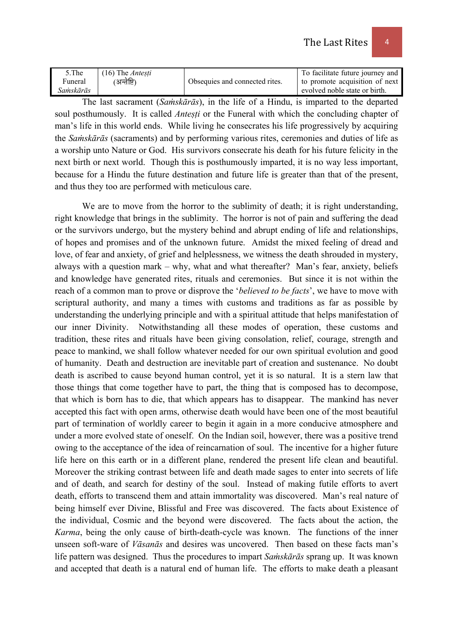| 5.The     | $(16)$ The <i>Antesti</i> |                                | To facilitate future journey and |
|-----------|---------------------------|--------------------------------|----------------------------------|
| Funeral   | अन्तेष्टि)                | Obsequies and connected rites. | to promote acquisition of next   |
| Saṁskārās |                           |                                | evolved noble state or birth.    |

 The last sacrament (*Saṁskārās*), in the life of a Hindu, is imparted to the departed soul posthumously. It is called *Antesti* or the Funeral with which the concluding chapter of man's life in this world ends. While living he consecrates his life progressively by acquiring the *Saṁskārās* (sacraments) and by performing various rites, ceremonies and duties of life as a worship unto Nature or God. His survivors consecrate his death for his future felicity in the next birth or next world. Though this is posthumously imparted, it is no way less important, because for a Hindu the future destination and future life is greater than that of the present, and thus they too are performed with meticulous care.

We are to move from the horror to the sublimity of death; it is right understanding, right knowledge that brings in the sublimity. The horror is not of pain and suffering the dead or the survivors undergo, but the mystery behind and abrupt ending of life and relationships, of hopes and promises and of the unknown future. Amidst the mixed feeling of dread and love, of fear and anxiety, of grief and helplessness, we witness the death shrouded in mystery, always with a question mark – why, what and what thereafter? Man's fear, anxiety, beliefs and knowledge have generated rites, rituals and ceremonies. But since it is not within the reach of a common man to prove or disprove the '*believed to be facts*', we have to move with scriptural authority, and many a times with customs and traditions as far as possible by understanding the underlying principle and with a spiritual attitude that helps manifestation of our inner Divinity. Notwithstanding all these modes of operation, these customs and tradition, these rites and rituals have been giving consolation, relief, courage, strength and peace to mankind, we shall follow whatever needed for our own spiritual evolution and good of humanity. Death and destruction are inevitable part of creation and sustenance. No doubt death is ascribed to cause beyond human control, yet it is so natural. It is a stern law that those things that come together have to part, the thing that is composed has to decompose, that which is born has to die, that which appears has to disappear. The mankind has never accepted this fact with open arms, otherwise death would have been one of the most beautiful part of termination of worldly career to begin it again in a more conducive atmosphere and under a more evolved state of oneself. On the Indian soil, however, there was a positive trend owing to the acceptance of the idea of reincarnation of soul. The incentive for a higher future life here on this earth or in a different plane, rendered the present life clean and beautiful. Moreover the striking contrast between life and death made sages to enter into secrets of life and of death, and search for destiny of the soul. Instead of making futile efforts to avert death, efforts to transcend them and attain immortality was discovered. Man's real nature of being himself ever Divine, Blissful and Free was discovered. The facts about Existence of the individual, Cosmic and the beyond were discovered. The facts about the action, the *Karma*, being the only cause of birth-death-cycle was known. The functions of the inner unseen soft-ware of *Vāsanās* and desires was uncovered. Then based on these facts man's life pattern was designed. Thus the procedures to impart *Saṁskārās* sprang up. It was known and accepted that death is a natural end of human life. The efforts to make death a pleasant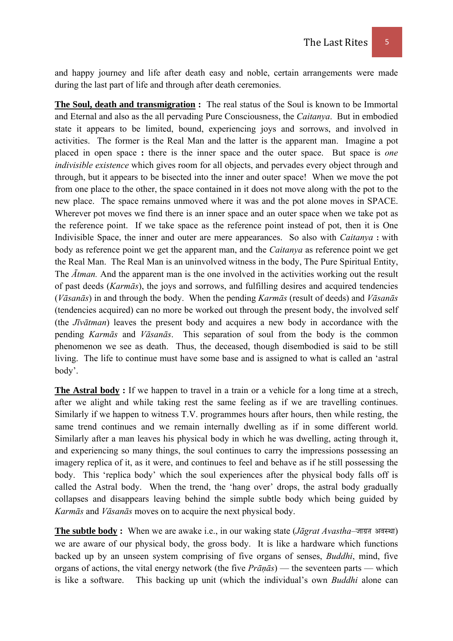and happy journey and life after death easy and noble, certain arrangements were made during the last part of life and through after death ceremonies.

**The Soul, death and transmigration :** The real status of the Soul is known to be Immortal and Eternal and also as the all pervading Pure Consciousness, the *Caitanya*. But in embodied state it appears to be limited, bound, experiencing joys and sorrows, and involved in activities. The former is the Real Man and the latter is the apparent man. Imagine a pot placed in open space **:** there is the inner space and the outer space. But space is *one indivisible existence* which gives room for all objects, and pervades every object through and through, but it appears to be bisected into the inner and outer space! When we move the pot from one place to the other, the space contained in it does not move along with the pot to the new place. The space remains unmoved where it was and the pot alone moves in SPACE. Wherever pot moves we find there is an inner space and an outer space when we take pot as the reference point. If we take space as the reference point instead of pot, then it is One Indivisible Space, the inner and outer are mere appearances. So also with *Caitanya* **:** with body as reference point we get the apparent man, and the *Caitanya* as reference point we get the Real Man. The Real Man is an uninvolved witness in the body, The Pure Spiritual Entity, The *Ātman.* And the apparent man is the one involved in the activities working out the result of past deeds (*Karmās*), the joys and sorrows, and fulfilling desires and acquired tendencies (*Vāsanās*) in and through the body. When the pending *Karmās* (result of deeds) and *Vāsanās* (tendencies acquired) can no more be worked out through the present body, the involved self (the *Jīvātman*) leaves the present body and acquires a new body in accordance with the pending *Karmās* and *Vāsanās*. This separation of soul from the body is the common phenomenon we see as death. Thus, the deceased, though disembodied is said to be still living. The life to continue must have some base and is assigned to what is called an 'astral body'.

**The Astral body :** If we happen to travel in a train or a vehicle for a long time at a strech, after we alight and while taking rest the same feeling as if we are travelling continues. Similarly if we happen to witness T.V. programmes hours after hours, then while resting, the same trend continues and we remain internally dwelling as if in some different world. Similarly after a man leaves his physical body in which he was dwelling, acting through it, and experiencing so many things, the soul continues to carry the impressions possessing an imagery replica of it, as it were, and continues to feel and behave as if he still possessing the body. This 'replica body' which the soul experiences after the physical body falls off is called the Astral body. When the trend, the 'hang over' drops, the astral body gradually collapses and disappears leaving behind the simple subtle body which being guided by *Karmās* and *Vāsanās* moves on to acquire the next physical body.

**The subtle body** : When we are awake i.e., in our waking state (*Jāgrat Avastha*– $\pi$ ग्र अवस्था) we are aware of our physical body, the gross body. It is like a hardware which functions backed up by an unseen system comprising of five organs of senses, *Buddhi*, mind, five organs of actions, the vital energy network (the five *Prāṇās*) — the seventeen parts — which is like a software. This backing up unit (which the individual's own *Buddhi* alone can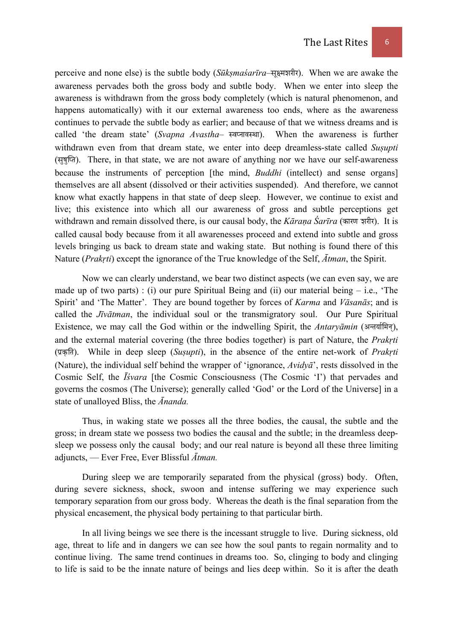perceive and none else) is the subtle body (*Sūkṣmaśarīra*–सूक्ष्मज़रीर). When we are awake the awareness pervades both the gross body and subtle body. When we enter into sleep the awareness is withdrawn from the gross body completely (which is natural phenomenon, and happens automatically) with it our external awareness too ends, where as the awareness continues to pervade the subtle body as earlier; and because of that we witness dreams and is called 'the dream state' (*Svapna Avastha*– स्वप्नावस्था). When the awareness is further withdrawn even from that dream state, we enter into deep dreamless-state called *Susupti*  $(\overline{xy})$ . There, in that state, we are not aware of anything nor we have our self-awareness because the instruments of perception [the mind, *Buddhi* (intellect) and sense organs] themselves are all absent (dissolved or their activities suspended). And therefore, we cannot know what exactly happens in that state of deep sleep. However, we continue to exist and live; this existence into which all our awareness of gross and subtle perceptions get withdrawn and remain dissolved there, is our causal body, the *Kārana Śarīra* (कारण ज़रीर). It is called causal body because from it all awarenesses proceed and extend into subtle and gross levels bringing us back to dream state and waking state. But nothing is found there of this Nature (*Prakṛti*) except the ignorance of the True knowledge of the Self, *Ātman*, the Spirit.

 Now we can clearly understand, we bear two distinct aspects (we can even say, we are made up of two parts) : (i) our pure Spiritual Being and (ii) our material being  $-$  i.e., 'The Spirit' and 'The Matter'. They are bound together by forces of *Karma* and *Vāsanās*; and is called the *Jīvātman*, the individual soul or the transmigratory soul. Our Pure Spiritual Existence, we may call the God within or the indwelling Spirit, the *Antaryāmin* (अन्तर्यामिन्), and the external material covering (the three bodies together) is part of Nature, the *Prakṛti* (प्रकृति). While in deep sleep (*Susupti*), in the absence of the entire net-work of *Prakrti* (Nature), the individual self behind the wrapper of 'ignorance, *Avidyā*', rests dissolved in the Cosmic Self, the *Īśvara* [the Cosmic Consciousness (The Cosmic 'I') that pervades and governs the cosmos (The Universe); generally called 'God' or the Lord of the Universe] in a state of unalloyed Bliss, the *Ānanda.* 

Thus, in waking state we posses all the three bodies, the causal, the subtle and the gross; in dream state we possess two bodies the causal and the subtle; in the dreamless deepsleep we possess only the causal body; and our real nature is beyond all these three limiting adjuncts, — Ever Free, Ever Blissful *Ātman.* 

 During sleep we are temporarily separated from the physical (gross) body. Often, during severe sickness, shock, swoon and intense suffering we may experience such temporary separation from our gross body. Whereas the death is the final separation from the physical encasement, the physical body pertaining to that particular birth.

 In all living beings we see there is the incessant struggle to live. During sickness, old age, threat to life and in dangers we can see how the soul pants to regain normality and to continue living. The same trend continues in dreams too. So, clinging to body and clinging to life is said to be the innate nature of beings and lies deep within. So it is after the death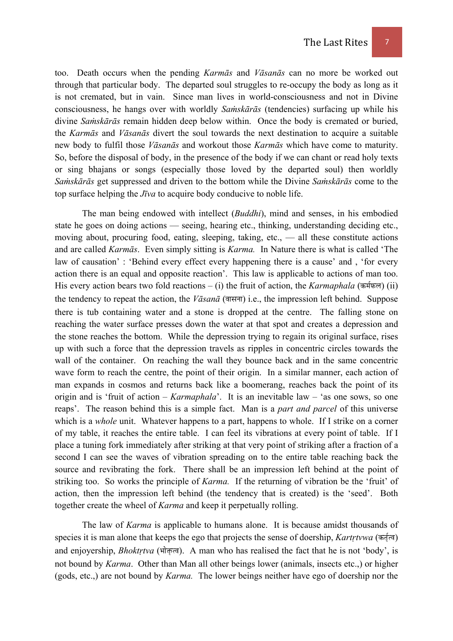too. Death occurs when the pending *Karmās* and *Vāsanās* can no more be worked out through that particular body. The departed soul struggles to re-occupy the body as long as it is not cremated, but in vain. Since man lives in world-consciousness and not in Divine consciousness, he hangs over with worldly *Saṁskārās* (tendencies) surfacing up while his divine *Saṁskārās* remain hidden deep below within. Once the body is cremated or buried, the *Karmās* and *Vāsanās* divert the soul towards the next destination to acquire a suitable new body to fulfil those *Vāsanās* and workout those *Karmās* which have come to maturity. So, before the disposal of body, in the presence of the body if we can chant or read holy texts or sing bhajans or songs (especially those loved by the departed soul) then worldly *Saṁskārās* get suppressed and driven to the bottom while the Divine *Saṁskārās* come to the top surface helping the *Jīva* to acquire body conducive to noble life.

 The man being endowed with intellect (*Buddhi*), mind and senses, in his embodied state he goes on doing actions — seeing, hearing etc., thinking, understanding deciding etc., moving about, procuring food, eating, sleeping, taking, etc., — all these constitute actions and are called *Karmās*. Even simply sitting is *Karma.* In Nature there is what is called 'The law of causation' : 'Behind every effect every happening there is a cause' and , 'for every action there is an equal and opposite reaction'. This law is applicable to actions of man too. His every action bears two fold reactions – (i) the fruit of action, the *Karmaphala* (कर्मफल) (ii) the tendency to repeat the action, the *Vāsanā* (बासना) i.e., the impression left behind. Suppose there is tub containing water and a stone is dropped at the centre. The falling stone on reaching the water surface presses down the water at that spot and creates a depression and the stone reaches the bottom. While the depression trying to regain its original surface, rises up with such a force that the depression travels as ripples in concentric circles towards the wall of the container. On reaching the wall they bounce back and in the same concentric wave form to reach the centre, the point of their origin. In a similar manner, each action of man expands in cosmos and returns back like a boomerang, reaches back the point of its origin and is 'fruit of action – *Karmaphala*'. It is an inevitable law – 'as one sows, so one reaps'. The reason behind this is a simple fact. Man is a *part and parcel* of this universe which is a *whole* unit. Whatever happens to a part, happens to whole. If I strike on a corner of my table, it reaches the entire table. I can feel its vibrations at every point of table. If I place a tuning fork immediately after striking at that very point of striking after a fraction of a second I can see the waves of vibration spreading on to the entire table reaching back the source and revibrating the fork. There shall be an impression left behind at the point of striking too. So works the principle of *Karma.* If the returning of vibration be the 'fruit' of action, then the impression left behind (the tendency that is created) is the 'seed'. Both together create the wheel of *Karma* and keep it perpetually rolling.

 The law of *Karma* is applicable to humans alone. It is because amidst thousands of species it is man alone that keeps the ego that projects the sense of doership, *Kartrtvwa* (कर्नुत्व) and enjoyership, *Bhoktrtva* (भोकृत्व). A man who has realised the fact that he is not 'body', is not bound by *Karma*. Other than Man all other beings lower (animals, insects etc.,) or higher (gods, etc.,) are not bound by *Karma.* The lower beings neither have ego of doership nor the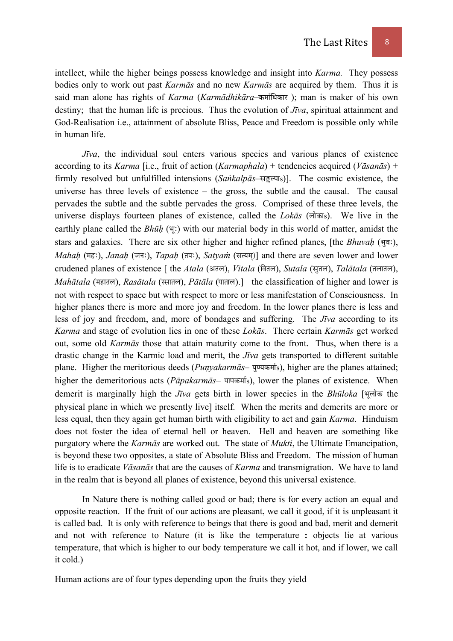intellect, while the higher beings possess knowledge and insight into *Karma.* They possess bodies only to work out past *Karmās* and no new *Karmās* are acquired by them. Thus it is said man alone has rights of *Karma* (*Karmādhikāra*–कर्माधिकार); man is maker of his own destiny; that the human life is precious. Thus the evolution of *Jīva*, spiritual attainment and God-Realisation i.e., attainment of absolute Bliss, Peace and Freedom is possible only while in human life.

*Jīva*, the individual soul enters various species and various planes of existence according to its *Karma* [i.e., fruit of action (*Karmaphala*) + tendencies acquired (*Vāsanās*) + firmly resolved but unfulfilled intensions (*Sankalpās*–सङ्कल्पा<sub>s</sub>)]. The cosmic existence, the universe has three levels of existence – the gross, the subtle and the causal. The causal pervades the subtle and the subtle pervades the gross. Comprised of these three levels, the universe displays fourteen planes of existence, called the *Lokas* (लोकाs). We live in the earthly plane called the *Bhūh* (F) with our material body in this world of matter, amidst the stars and galaxies. There are six other higher and higher refined planes, [the *Bhuvah* ( $\overline{q}$ ), *Mahah* (मह:), *Janah* (जन:), *Tapah* (तप:), *Satyam* (सत्यम)] and there are seven lower and lower crudened planes of existence [ the *Atala* (अतल), *Vitala* (बितल), *Sutala* (सूतल), *Talātala* (तलातल), *Mahātala* (महातल), *Rasātala* (रसातल), *Pātāla* (पाताल).] the classification of higher and lower is not with respect to space but with respect to more or less manifestation of Consciousness. In higher planes there is more and more joy and freedom. In the lower planes there is less and less of joy and freedom, and, more of bondages and suffering. The *Jīva* according to its *Karma* and stage of evolution lies in one of these *Lokās*. There certain *Karmās* get worked out, some old *Karmās* those that attain maturity come to the front. Thus, when there is a drastic change in the Karmic load and merit, the *Jīva* gets transported to different suitable plane. Higher the meritorious deeds (*Punyakarmās*– पुण्यकर्माs), higher are the planes attained; higher the demeritorious acts (*Pāpakarmās*– पापकर्माs), lower the planes of existence. When demerit is marginally high the *Jīva* gets birth in lower species in the *Bhūloka* [भूलोक the physical plane in which we presently live] itself. When the merits and demerits are more or less equal, then they again get human birth with eligibility to act and gain *Karma*. Hinduism does not foster the idea of eternal hell or heaven. Hell and heaven are something like purgatory where the *Karmās* are worked out. The state of *Mukti*, the Ultimate Emancipation, is beyond these two opposites, a state of Absolute Bliss and Freedom. The mission of human life is to eradicate *Vāsanās* that are the causes of *Karma* and transmigration. We have to land in the realm that is beyond all planes of existence, beyond this universal existence.

 In Nature there is nothing called good or bad; there is for every action an equal and opposite reaction. If the fruit of our actions are pleasant, we call it good, if it is unpleasant it is called bad. It is only with reference to beings that there is good and bad, merit and demerit and not with reference to Nature (it is like the temperature **:** objects lie at various temperature, that which is higher to our body temperature we call it hot, and if lower, we call it cold.)

Human actions are of four types depending upon the fruits they yield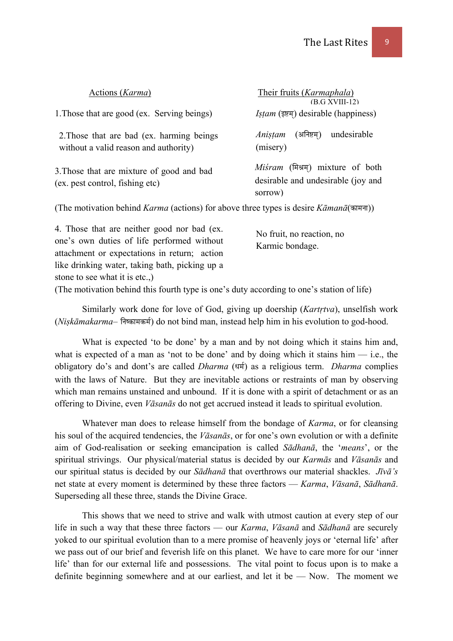| Actions ( <i>Karma</i> )                                                                              | Their fruits ( <i>Karmaphala</i> )<br>$(B.G XVIII-12)$                           |
|-------------------------------------------------------------------------------------------------------|----------------------------------------------------------------------------------|
| 1. Those that are good (ex. Serving beings)                                                           | <i>Istam</i> (इष्टम्) desirable (happiness)                                      |
| 2. Those that are bad (ex. harming beings)<br>without a valid reason and authority)                   | undesirable<br>(अनिष्टम्)<br>Anistam<br>(misery)                                 |
| 3. Those that are mixture of good and bad<br>(ex. pest control, fishing etc)                          | Misram (मिश्रम) mixture of both<br>desirable and undesirable (joy and<br>sorrow) |
| (The method is the film of $V$ number (estimary from the set that a fundation $V$ , we note $\tau$ )) |                                                                                  |

(The motivation behind *Karma* (actions) for above three types is desire *Kāmanā*(कामना))

4. Those that are neither good nor bad (ex. one's own duties of life performed without attachment or expectations in return; action like drinking water, taking bath, picking up a stone to see what it is etc.,) No fruit, no reaction, no Karmic bondage.

(The motivation behind this fourth type is one's duty according to one's station of life)

 Similarly work done for love of God, giving up doership (*Kartṛtva*), unselfish work *(Niskāmakarma–* निष्कामकर्म) do not bind man, instead help him in his evolution to god-hood.

 What is expected 'to be done' by a man and by not doing which it stains him and, what is expected of a man as 'not to be done' and by doing which it stains him  $-$  i.e., the obligatory do's and dont's are called *Dharma* (धर्म) as a religious term. *Dharma* complies with the laws of Nature. But they are inevitable actions or restraints of man by observing which man remains unstained and unbound. If it is done with a spirit of detachment or as an offering to Divine, even *Vāsanās* do not get accrued instead it leads to spiritual evolution.

 Whatever man does to release himself from the bondage of *Karma*, or for cleansing his soul of the acquired tendencies, the *Vāsanās*, or for one's own evolution or with a definite aim of God-realisation or seeking emancipation is called *Sādhanā*, the '*means*', or the spiritual strivings. Our physical/material status is decided by our *Karmās* and *Vāsanās* and our spiritual status is decided by our *Sādhanā* that overthrows our material shackles. *Jīvā's* net state at every moment is determined by these three factors — *Karma*, *Vāsanā*, *Sādhanā*. Superseding all these three, stands the Divine Grace.

 This shows that we need to strive and walk with utmost caution at every step of our life in such a way that these three factors — our *Karma*, *Vāsanā* and *Sādhanā* are securely yoked to our spiritual evolution than to a mere promise of heavenly joys or 'eternal life' after we pass out of our brief and feverish life on this planet. We have to care more for our 'inner life' than for our external life and possessions. The vital point to focus upon is to make a definite beginning somewhere and at our earliest, and let it be — Now. The moment we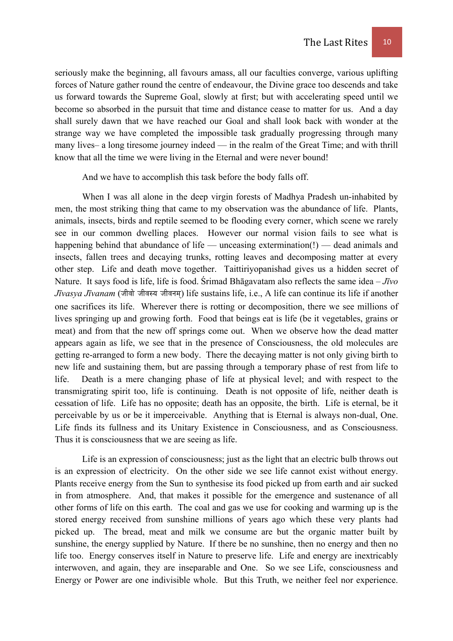seriously make the beginning, all favours amass, all our faculties converge, various uplifting forces of Nature gather round the centre of endeavour, the Divine grace too descends and take us forward towards the Supreme Goal, slowly at first; but with accelerating speed until we become so absorbed in the pursuit that time and distance cease to matter for us. And a day shall surely dawn that we have reached our Goal and shall look back with wonder at the strange way we have completed the impossible task gradually progressing through many many lives– a long tiresome journey indeed — in the realm of the Great Time; and with thrill know that all the time we were living in the Eternal and were never bound!

And we have to accomplish this task before the body falls off.

 When I was all alone in the deep virgin forests of Madhya Pradesh un-inhabited by men, the most striking thing that came to my observation was the abundance of life. Plants, animals, insects, birds and reptile seemed to be flooding every corner, which scene we rarely see in our common dwelling places. However our normal vision fails to see what is happening behind that abundance of life — unceasing extermination(!) — dead animals and insects, fallen trees and decaying trunks, rotting leaves and decomposing matter at every other step. Life and death move together. Taittiriyopanishad gives us a hidden secret of Nature. It says food is life, life is food. Śrimad Bhāgavatam also reflects the same idea – *Jīvo Jīvasya Jīvanam* (जीवो जीवस्य जीवनम) life sustains life, i.e., A life can continue its life if another one sacrifices its life. Wherever there is rotting or decomposition, there we see millions of lives springing up and growing forth. Food that beings eat is life (be it vegetables, grains or meat) and from that the new off springs come out. When we observe how the dead matter appears again as life, we see that in the presence of Consciousness, the old molecules are getting re-arranged to form a new body. There the decaying matter is not only giving birth to new life and sustaining them, but are passing through a temporary phase of rest from life to life. Death is a mere changing phase of life at physical level; and with respect to the transmigrating spirit too, life is continuing. Death is not opposite of life, neither death is cessation of life. Life has no opposite; death has an opposite, the birth. Life is eternal, be it perceivable by us or be it imperceivable. Anything that is Eternal is always non-dual, One. Life finds its fullness and its Unitary Existence in Consciousness, and as Consciousness. Thus it is consciousness that we are seeing as life.

 Life is an expression of consciousness; just as the light that an electric bulb throws out is an expression of electricity. On the other side we see life cannot exist without energy. Plants receive energy from the Sun to synthesise its food picked up from earth and air sucked in from atmosphere. And, that makes it possible for the emergence and sustenance of all other forms of life on this earth. The coal and gas we use for cooking and warming up is the stored energy received from sunshine millions of years ago which these very plants had picked up. The bread, meat and milk we consume are but the organic matter built by sunshine, the energy supplied by Nature. If there be no sunshine, then no energy and then no life too. Energy conserves itself in Nature to preserve life. Life and energy are inextricably interwoven, and again, they are inseparable and One. So we see Life, consciousness and Energy or Power are one indivisible whole. But this Truth, we neither feel nor experience.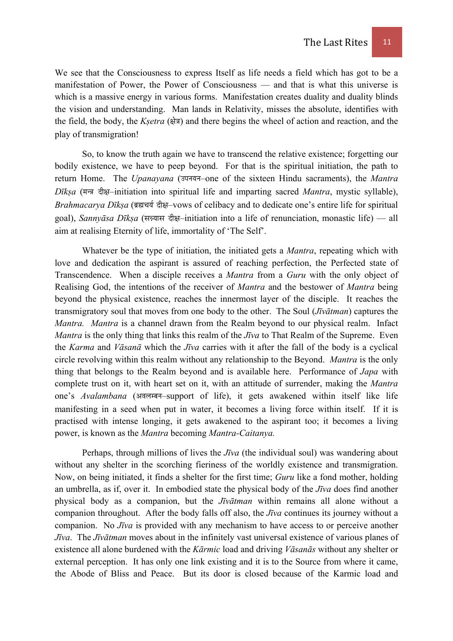We see that the Consciousness to express Itself as life needs a field which has got to be a manifestation of Power, the Power of Consciousness — and that is what this universe is which is a massive energy in various forms. Manifestation creates duality and duality blinds the vision and understanding. Man lands in Relativity, misses the absolute, identifies with the field, the body, the *Ksetra* (क्षेत्र) and there begins the wheel of action and reaction, and the play of transmigration!

 So, to know the truth again we have to transcend the relative existence; forgetting our bodily existence, we have to peep beyond. For that is the spiritual initiation, the path to return Home. The *Upanayana* (उपनयन–one of the sixteen Hindu sacraments), the *Mantra Dīkṣa* (मन्त्र दीक्ष-initiation into spiritual life and imparting sacred *Mantra*, mystic syllable), *Brahmacarya Dīksa* (ৰৱুন্বৰ্য <del>ব্ৰীয়</del>–vows of celibacy and to dedicate one's entire life for spiritual goal), *Sannyāsa Dīksa* (सन्न्यास दीक्ष-initiation into a life of renunciation, monastic life) — all aim at realising Eternity of life, immortality of 'The Self'.

 Whatever be the type of initiation, the initiated gets a *Mantra*, repeating which with love and dedication the aspirant is assured of reaching perfection, the Perfected state of Transcendence. When a disciple receives a *Mantra* from a *Guru* with the only object of Realising God, the intentions of the receiver of *Mantra* and the bestower of *Mantra* being beyond the physical existence, reaches the innermost layer of the disciple. It reaches the transmigratory soul that moves from one body to the other. The Soul (*Jīvātman*) captures the *Mantra. Mantra* is a channel drawn from the Realm beyond to our physical realm. Infact *Mantra* is the only thing that links this realm of the *Jīva* to That Realm of the Supreme. Even the *Karma* and *Vāsanā* which the *Jīva* carries with it after the fall of the body is a cyclical circle revolving within this realm without any relationship to the Beyond. *Mantra* is the only thing that belongs to the Realm beyond and is available here. Performance of *Japa* with complete trust on it, with heart set on it, with an attitude of surrender, making the *Mantra* one's Avalambana (अवलम्बन-support of life), it gets awakened within itself like life manifesting in a seed when put in water, it becomes a living force within itself. If it is practised with intense longing, it gets awakened to the aspirant too; it becomes a living power, is known as the *Mantra* becoming *Mantra-Caitanya.*

 Perhaps, through millions of lives the *Jīva* (the individual soul) was wandering about without any shelter in the scorching fieriness of the worldly existence and transmigration. Now, on being initiated, it finds a shelter for the first time; *Guru* like a fond mother, holding an umbrella, as if, over it. In embodied state the physical body of the *Jīva* does find another physical body as a companion, but the *Jīvātman* within remains all alone without a companion throughout. After the body falls off also, the *Jīva* continues its journey without a companion. No *Jīva* is provided with any mechanism to have access to or perceive another *Jīva*. The *Jīvātman* moves about in the infinitely vast universal existence of various planes of existence all alone burdened with the *Kārmic* load and driving *Vāsanās* without any shelter or external perception. It has only one link existing and it is to the Source from where it came, the Abode of Bliss and Peace. But its door is closed because of the Karmic load and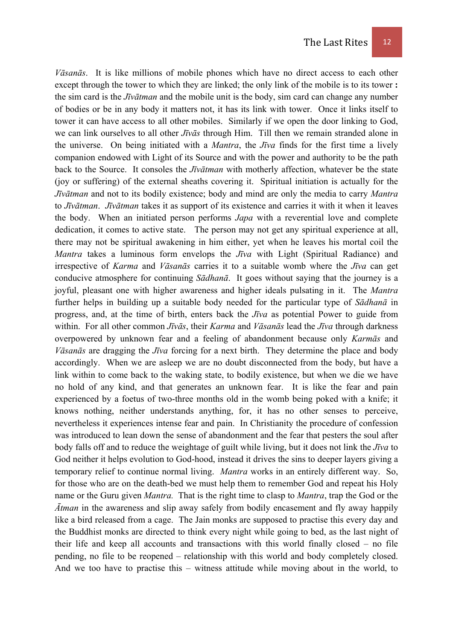*Vāsanās*. It is like millions of mobile phones which have no direct access to each other except through the tower to which they are linked; the only link of the mobile is to its tower **:** the sim card is the *Jīvātman* and the mobile unit is the body, sim card can change any number of bodies or be in any body it matters not, it has its link with tower. Once it links itself to tower it can have access to all other mobiles. Similarly if we open the door linking to God, we can link ourselves to all other *Jīvās* through Him. Till then we remain stranded alone in the universe. On being initiated with a *Mantra*, the *Jīva* finds for the first time a lively companion endowed with Light of its Source and with the power and authority to be the path back to the Source. It consoles the *Jīvātman* with motherly affection, whatever be the state (joy or suffering) of the external sheaths covering it. Spiritual initiation is actually for the *Jīvātman* and not to its bodily existence; body and mind are only the media to carry *Mantra* to *Jīvātman*. *Jīvātman* takes it as support of its existence and carries it with it when it leaves the body. When an initiated person performs *Japa* with a reverential love and complete dedication, it comes to active state. The person may not get any spiritual experience at all, there may not be spiritual awakening in him either, yet when he leaves his mortal coil the *Mantra* takes a luminous form envelops the *Jīva* with Light (Spiritual Radiance) and irrespective of *Karma* and *Vāsanās* carries it to a suitable womb where the *Jīva* can get conducive atmosphere for continuing *Sādhanā*. It goes without saying that the journey is a joyful, pleasant one with higher awareness and higher ideals pulsating in it. The *Mantra* further helps in building up a suitable body needed for the particular type of *Sādhanā* in progress, and, at the time of birth, enters back the *Jīva* as potential Power to guide from within. For all other common *Jīvās*, their *Karma* and *Vāsanās* lead the *Jīva* through darkness overpowered by unknown fear and a feeling of abandonment because only *Karmās* and *Vāsanās* are dragging the *Jīva* forcing for a next birth. They determine the place and body accordingly. When we are asleep we are no doubt disconnected from the body, but have a link within to come back to the waking state, to bodily existence, but when we die we have no hold of any kind, and that generates an unknown fear. It is like the fear and pain experienced by a foetus of two-three months old in the womb being poked with a knife; it knows nothing, neither understands anything, for, it has no other senses to perceive, nevertheless it experiences intense fear and pain. In Christianity the procedure of confession was introduced to lean down the sense of abandonment and the fear that pesters the soul after body falls off and to reduce the weightage of guilt while living, but it does not link the *Jīva* to God neither it helps evolution to God-hood, instead it drives the sins to deeper layers giving a temporary relief to continue normal living. *Mantra* works in an entirely different way. So, for those who are on the death-bed we must help them to remember God and repeat his Holy name or the Guru given *Mantra.* That is the right time to clasp to *Mantra*, trap the God or the *Ātman* in the awareness and slip away safely from bodily encasement and fly away happily like a bird released from a cage. The Jain monks are supposed to practise this every day and the Buddhist monks are directed to think every night while going to bed, as the last night of their life and keep all accounts and transactions with this world finally closed – no file pending, no file to be reopened – relationship with this world and body completely closed. And we too have to practise this – witness attitude while moving about in the world, to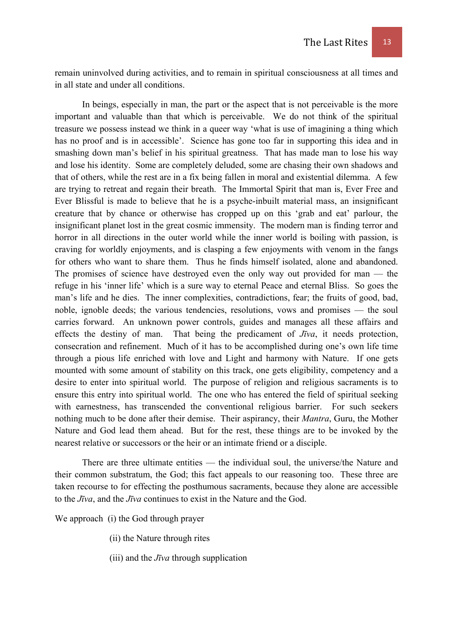remain uninvolved during activities, and to remain in spiritual consciousness at all times and in all state and under all conditions.

 In beings, especially in man, the part or the aspect that is not perceivable is the more important and valuable than that which is perceivable. We do not think of the spiritual treasure we possess instead we think in a queer way 'what is use of imagining a thing which has no proof and is in accessible'. Science has gone too far in supporting this idea and in smashing down man's belief in his spiritual greatness. That has made man to lose his way and lose his identity. Some are completely deluded, some are chasing their own shadows and that of others, while the rest are in a fix being fallen in moral and existential dilemma. A few are trying to retreat and regain their breath. The Immortal Spirit that man is, Ever Free and Ever Blissful is made to believe that he is a psyche-inbuilt material mass, an insignificant creature that by chance or otherwise has cropped up on this 'grab and eat' parlour, the insignificant planet lost in the great cosmic immensity. The modern man is finding terror and horror in all directions in the outer world while the inner world is boiling with passion, is craving for worldly enjoyments, and is clasping a few enjoyments with venom in the fangs for others who want to share them. Thus he finds himself isolated, alone and abandoned. The promises of science have destroyed even the only way out provided for man — the refuge in his 'inner life' which is a sure way to eternal Peace and eternal Bliss. So goes the man's life and he dies. The inner complexities, contradictions, fear; the fruits of good, bad, noble, ignoble deeds; the various tendencies, resolutions, vows and promises — the soul carries forward. An unknown power controls, guides and manages all these affairs and effects the destiny of man. That being the predicament of *Jīva*, it needs protection, consecration and refinement. Much of it has to be accomplished during one's own life time through a pious life enriched with love and Light and harmony with Nature. If one gets mounted with some amount of stability on this track, one gets eligibility, competency and a desire to enter into spiritual world. The purpose of religion and religious sacraments is to ensure this entry into spiritual world. The one who has entered the field of spiritual seeking with earnestness, has transcended the conventional religious barrier. For such seekers nothing much to be done after their demise. Their aspirancy, their *Mantra*, Guru, the Mother Nature and God lead them ahead. But for the rest, these things are to be invoked by the nearest relative or successors or the heir or an intimate friend or a disciple.

 There are three ultimate entities — the individual soul, the universe/the Nature and their common substratum, the God; this fact appeals to our reasoning too. These three are taken recourse to for effecting the posthumous sacraments, because they alone are accessible to the *Jīva*, and the *Jīva* continues to exist in the Nature and the God.

We approach (i) the God through prayer

- (ii) the Nature through rites
- (iii) and the *Jīva* through supplication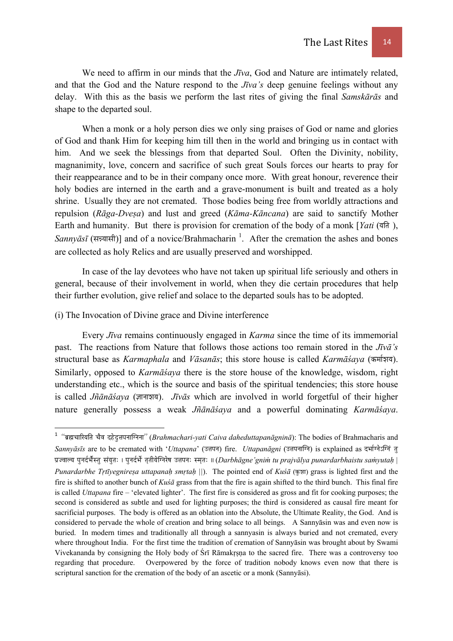We need to affirm in our minds that the *Jīva*, God and Nature are intimately related, and that the God and the Nature respond to the *Jīva's* deep genuine feelings without any delay. With this as the basis we perform the last rites of giving the final *Samskārās* and shape to the departed soul.

 When a monk or a holy person dies we only sing praises of God or name and glories of God and thank Him for keeping him till then in the world and bringing us in contact with him. And we seek the blessings from that departed Soul. Often the Divinity, nobility, magnanimity, love, concern and sacrifice of such great Souls forces our hearts to pray for their reappearance and to be in their company once more. With great honour, reverence their holy bodies are interned in the earth and a grave-monument is built and treated as a holy shrine. Usually they are not cremated. Those bodies being free from worldly attractions and repulsion (*Rāga-Dveṣa*) and lust and greed (*Kāma-Kāncana*) are said to sanctify Mother Earth and humanity. But there is provision for cremation of the body of a monk [*Yati* (यति), *Sannyāsī* (सन्न्यासी)] and of a novice/Brahmacharin <sup>1</sup>. After the cremation the ashes and bones are collected as holy Relics and are usually preserved and worshipped.

In case of the lay devotees who have not taken up spiritual life seriously and others in general, because of their involvement in world, when they die certain procedures that help their further evolution, give relief and solace to the departed souls has to be adopted.

# (i) The Invocation of Divine grace and Divine interference

 Every *Jīva* remains continuously engaged in *Karma* since the time of its immemorial past. The reactions from Nature that follows those actions too remain stored in the *Jīvā's*  structural base as *Karmaphala* and *Vāsanās*; this store house is called *Karmāśaya* (कर्माश्रय). Similarly, opposed to *Karmāśaya* there is the store house of the knowledge, wisdom, right understanding etc., which is the source and basis of the spiritual tendencies; this store house is called *Jñanasaya* (ज्ञानाशय). *Jīvas* which are involved in world forgetful of their higher nature generally possess a weak *Jñānāśaya* and a powerful dominating *Karmāśaya*.

<sup>&</sup>lt;sup>1</sup> "ब्रह्मचारियति चैव दहेदुत्तपनाग्निना" (Brahmachari-yati Caiva daheduttapanāgninā): The bodies of Brahmacharis and *Sannyāsīs* are to be cremated with '*Uttapana*' (उत्तपन) fire. *Uttapanāgni* (उत्तपनाग्नि) is explained as दर्भाग्नेऽग्निं त् mÉëeuÉÉsrÉ mÉÑlÉSïpÉæïxiÉÑ xÉÇrÉÑiÉÈ | mÉÑlÉSïpÉåï iÉ×iÉÏrÉåÎalÉUåwÉ E¨ÉmÉlÉÈ xqÉ×iÉÈ || (*Darbhāgne'gniṁ tu prajvālya punardarbhaistu saṁyutaḥ | Punardarbhe Trtīvegniresa uttapanah smrtah*  $||$ ). The pointed end of *Kuśā* ( $\overline{m}$ ) grass is lighted first and the fire is shifted to another bunch of *Kuśā* grass from that the fire is again shifted to the third bunch. This final fire is called *Uttapana* fire – 'elevated lighter'. The first fire is considered as gross and fit for cooking purposes; the second is considered as subtle and used for lighting purposes; the third is considered as causal fire meant for sacrificial purposes. The body is offered as an oblation into the Absolute, the Ultimate Reality, the God. And is considered to pervade the whole of creation and bring solace to all beings. A Sannyāsin was and even now is buried. In modern times and traditionally all through a sannyasin is always buried and not cremated, every where throughout India. For the first time the tradition of cremation of Sannyāsin was brought about by Swami Vivekananda by consigning the Holy body of Śrī Rāmakṛṣṇa to the sacred fire. There was a controversy too regarding that procedure. Overpowered by the force of tradition nobody knows even now that there is scriptural sanction for the cremation of the body of an ascetic or a monk (Sannyāsi).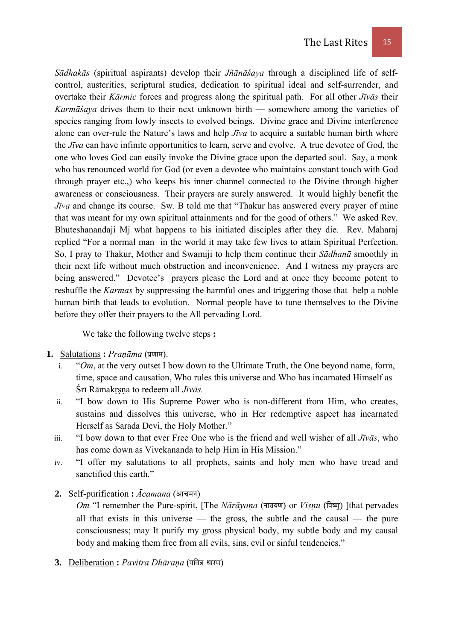*Sādhakās* (spiritual aspirants) develop their *Jñānāśaya* through a disciplined life of selfcontrol, austerities, scriptural studies, dedication to spiritual ideal and self-surrender, and overtake their *Kārmic* forces and progress along the spiritual path. For all other *Jīvās* their *Karmāśaya* drives them to their next unknown birth — somewhere among the varieties of species ranging from lowly insects to evolved beings. Divine grace and Divine interference alone can over-rule the Nature's laws and help *Jīva* to acquire a suitable human birth where the *Jīva* can have infinite opportunities to learn, serve and evolve. A true devotee of God, the one who loves God can easily invoke the Divine grace upon the departed soul. Say, a monk who has renounced world for God (or even a devotee who maintains constant touch with God through prayer etc.,) who keeps his inner channel connected to the Divine through higher awareness or consciousness. Their prayers are surely answered. It would highly benefit the *Jīva* and change its course. Sw. B told me that "Thakur has answered every prayer of mine that was meant for my own spiritual attainments and for the good of others." We asked Rev. Bhuteshanandaji Mj what happens to his initiated disciples after they die. Rev. Maharaj replied "For a normal man in the world it may take few lives to attain Spiritual Perfection. So, I pray to Thakur, Mother and Swamiji to help them continue their *Sādhanā* smoothly in their next life without much obstruction and inconvenience. And I witness my prayers are being answered." Devotee's prayers please the Lord and at once they become potent to reshuffle the *Karmas* by suppressing the harmful ones and triggering those that help a noble human birth that leads to evolution. Normal people have to tune themselves to the Divine

We take the following twelve steps **:** 

before they offer their prayers to the All pervading Lord.

# 1. Salutations : Pranāma (प्रणाम).

- i. "*Om*, at the very outset I bow down to the Ultimate Truth, the One beyond name, form, time, space and causation, Who rules this universe and Who has incarnated Himself as Śrī Rāmakṛṣṇa to redeem all *Jīvās.*
- ii. "I bow down to His Supreme Power who is non-different from Him, who creates, sustains and dissolves this universe, who in Her redemptive aspect has incarnated Herself as Sarada Devi, the Holy Mother."
- iii. "I bow down to that ever Free One who is the friend and well wisher of all *Jīvās*, who has come down as Vivekananda to help Him in His Mission."
- iv. "I offer my salutations to all prophets, saints and holy men who have tread and sanctified this earth."
- 2. Self-purification :  $\bar{A}c$ amana (आचमन)

*Om* "I remember the Pure-spirit, [The *Nārāyaṇa* (नारायण) or *Viṣṇu* (विष्णू) ]that pervades all that exists in this universe — the gross, the subtle and the causal — the pure consciousness; may It purify my gross physical body, my subtle body and my causal body and making them free from all evils, sins, evil or sinful tendencies."

3. Deliberation : Pavitra Dhāraṇa (पवित्र धारण)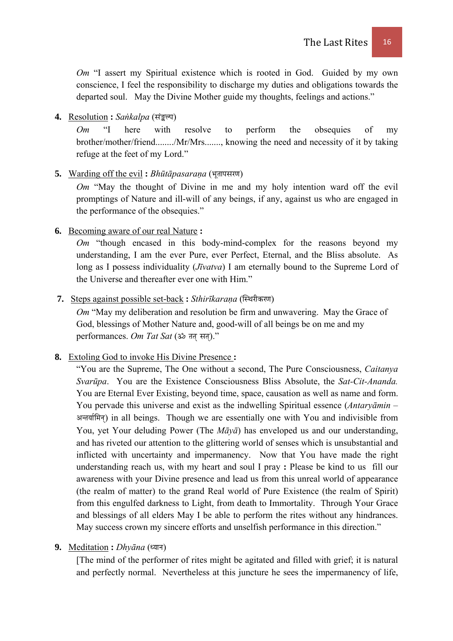*Om* "I assert my Spiritual existence which is rooted in God. Guided by my own conscience, I feel the responsibility to discharge my duties and obligations towards the departed soul. May the Divine Mother guide my thoughts, feelings and actions."

# 4. Resolution : Sankalpa (संङ्कल्प)

*Om* "I here with resolve to perform the obsequies of my brother/mother/friend......../Mr/Mrs......., knowing the need and necessity of it by taking refuge at the feet of my Lord."

## 5. Warding off the evil: *Bhūtāpasaraṇa* (भूतापसरण)

*Om* "May the thought of Divine in me and my holy intention ward off the evil promptings of Nature and ill-will of any beings, if any, against us who are engaged in the performance of the obsequies."

# **6.** Becoming aware of our real Nature **:**

*Om* "though encased in this body-mind-complex for the reasons beyond my understanding, I am the ever Pure, ever Perfect, Eternal, and the Bliss absolute. As long as I possess individuality (*Jīvatva*) I am eternally bound to the Supreme Lord of the Universe and thereafter ever one with Him."

## 7. Steps against possible set-back : *Sthirīkaraṇa* (स्थिरीकरण)

*Om* "May my deliberation and resolution be firm and unwavering. May the Grace of God, blessings of Mother Nature and, good-will of all beings be on me and my performances. Om Tat Sat (ॐ तत सत)."

# **8.** Extoling God to invoke His Divine Presence **:**

"You are the Supreme, The One without a second, The Pure Consciousness, *Caitanya Svarūpa*. You are the Existence Consciousness Bliss Absolute, the *Sat-Cit-Ananda.*  You are Eternal Ever Existing, beyond time, space, causation as well as name and form. You pervade this universe and exist as the indwelling Spiritual essence (*Antaryāmin –* अन्तर्यामिन्) in all beings. Though we are essentially one with You and indivisible from You, yet Your deluding Power (The *Māyā*) has enveloped us and our understanding, and has riveted our attention to the glittering world of senses which is unsubstantial and inflicted with uncertainty and impermanency. Now that You have made the right understanding reach us, with my heart and soul I pray **:** Please be kind to us fill our awareness with your Divine presence and lead us from this unreal world of appearance (the realm of matter) to the grand Real world of Pure Existence (the realm of Spirit) from this engulfed darkness to Light, from death to Immortality. Through Your Grace and blessings of all elders May I be able to perform the rites without any hindrances. May success crown my sincere efforts and unselfish performance in this direction."

## 9. Meditation : *Dhyāna* (ध्यान)

[The mind of the performer of rites might be agitated and filled with grief; it is natural and perfectly normal. Nevertheless at this juncture he sees the impermanency of life,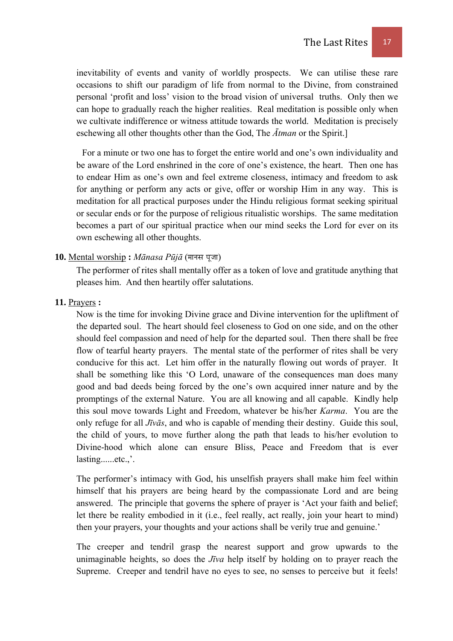inevitability of events and vanity of worldly prospects. We can utilise these rare occasions to shift our paradigm of life from normal to the Divine, from constrained personal 'profit and loss' vision to the broad vision of universal truths. Only then we can hope to gradually reach the higher realities. Real meditation is possible only when we cultivate indifference or witness attitude towards the world. Meditation is precisely eschewing all other thoughts other than the God, The *Ātman* or the Spirit.]

For a minute or two one has to forget the entire world and one's own individuality and be aware of the Lord enshrined in the core of one's existence, the heart. Then one has to endear Him as one's own and feel extreme closeness, intimacy and freedom to ask for anything or perform any acts or give, offer or worship Him in any way. This is meditation for all practical purposes under the Hindu religious format seeking spiritual or secular ends or for the purpose of religious ritualistic worships. The same meditation becomes a part of our spiritual practice when our mind seeks the Lord for ever on its own eschewing all other thoughts.

## 10. Mental worship: *Mānasa Pūjā* (मानस पूजा)

 The performer of rites shall mentally offer as a token of love and gratitude anything that pleases him. And then heartily offer salutations.

#### **11.** Prayers **:**

 Now is the time for invoking Divine grace and Divine intervention for the upliftment of the departed soul. The heart should feel closeness to God on one side, and on the other should feel compassion and need of help for the departed soul. Then there shall be free flow of tearful hearty prayers. The mental state of the performer of rites shall be very conducive for this act. Let him offer in the naturally flowing out words of prayer. It shall be something like this 'O Lord, unaware of the consequences man does many good and bad deeds being forced by the one's own acquired inner nature and by the promptings of the external Nature. You are all knowing and all capable. Kindly help this soul move towards Light and Freedom, whatever be his/her *Karma*. You are the only refuge for all *Jīvās*, and who is capable of mending their destiny. Guide this soul, the child of yours, to move further along the path that leads to his/her evolution to Divine-hood which alone can ensure Bliss, Peace and Freedom that is ever lasting......etc.,'.

 The performer's intimacy with God, his unselfish prayers shall make him feel within himself that his prayers are being heard by the compassionate Lord and are being answered. The principle that governs the sphere of prayer is 'Act your faith and belief; let there be reality embodied in it (i.e., feel really, act really, join your heart to mind) then your prayers, your thoughts and your actions shall be verily true and genuine.'

 The creeper and tendril grasp the nearest support and grow upwards to the unimaginable heights, so does the *Jīva* help itself by holding on to prayer reach the Supreme. Creeper and tendril have no eyes to see, no senses to perceive but it feels!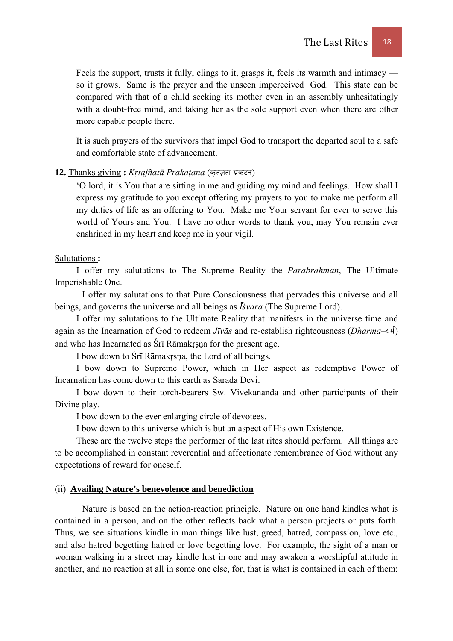Feels the support, trusts it fully, clings to it, grasps it, feels its warmth and intimacy so it grows. Same is the prayer and the unseen imperceived God. This state can be compared with that of a child seeking its mother even in an assembly unhesitatingly with a doubt-free mind, and taking her as the sole support even when there are other more capable people there.

 It is such prayers of the survivors that impel God to transport the departed soul to a safe and comfortable state of advancement.

#### 12. Thanks giving : Krtajñatā Prakațana (कृतज्ञता प्रकटन)

 'O lord, it is You that are sitting in me and guiding my mind and feelings. How shall I express my gratitude to you except offering my prayers to you to make me perform all my duties of life as an offering to You. Make me Your servant for ever to serve this world of Yours and You. I have no other words to thank you, may You remain ever enshrined in my heart and keep me in your vigil.

#### Salutations **:**

I offer my salutations to The Supreme Reality the *Parabrahman*, The Ultimate Imperishable One.

 I offer my salutations to that Pure Consciousness that pervades this universe and all beings, and governs the universe and all beings as *Īśvara* (The Supreme Lord).

I offer my salutations to the Ultimate Reality that manifests in the universe time and again as the Incarnation of God to redeem *Jīvās* and re-establish righteousness (*Dharma*–धर्म) and who has Incarnated as Śrī Rāmakṛṣṇa for the present age.

I bow down to Śrī Rāmakṛṣṇa, the Lord of all beings.

I bow down to Supreme Power, which in Her aspect as redemptive Power of Incarnation has come down to this earth as Sarada Devi.

I bow down to their torch-bearers Sw. Vivekananda and other participants of their Divine play.

I bow down to the ever enlarging circle of devotees.

I bow down to this universe which is but an aspect of His own Existence.

These are the twelve steps the performer of the last rites should perform. All things are to be accomplished in constant reverential and affectionate remembrance of God without any expectations of reward for oneself.

#### (ii) **Availing Nature's benevolence and benediction**

Nature is based on the action-reaction principle. Nature on one hand kindles what is contained in a person, and on the other reflects back what a person projects or puts forth. Thus, we see situations kindle in man things like lust, greed, hatred, compassion, love etc., and also hatred begetting hatred or love begetting love. For example, the sight of a man or woman walking in a street may kindle lust in one and may awaken a worshipful attitude in another, and no reaction at all in some one else, for, that is what is contained in each of them;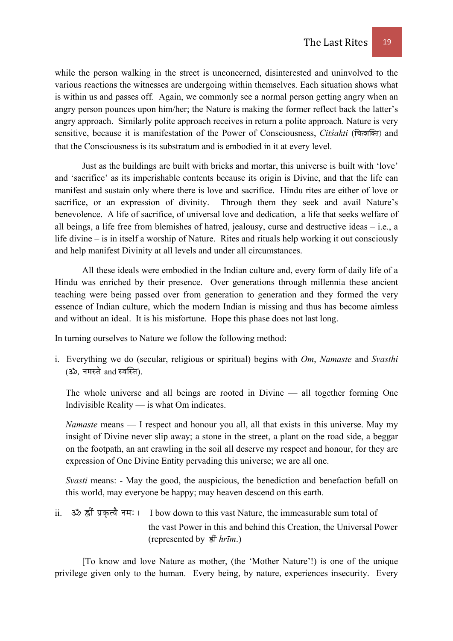while the person walking in the street is unconcerned, disinterested and uninvolved to the various reactions the witnesses are undergoing within themselves. Each situation shows what is within us and passes off. Again, we commonly see a normal person getting angry when an angry person pounces upon him/her; the Nature is making the former reflect back the latter's angry approach. Similarly polite approach receives in return a polite approach. Nature is very sensitive, because it is manifestation of the Power of Consciousness, *Citisakti* (चিत्रक्ति) and that the Consciousness is its substratum and is embodied in it at every level.

Just as the buildings are built with bricks and mortar, this universe is built with 'love' and 'sacrifice' as its imperishable contents because its origin is Divine, and that the life can manifest and sustain only where there is love and sacrifice. Hindu rites are either of love or sacrifice, or an expression of divinity. Through them they seek and avail Nature's benevolence. A life of sacrifice, of universal love and dedication, a life that seeks welfare of all beings, a life free from blemishes of hatred, jealousy, curse and destructive ideas – i.e., a life divine – is in itself a worship of Nature. Rites and rituals help working it out consciously and help manifest Divinity at all levels and under all circumstances.

All these ideals were embodied in the Indian culture and, every form of daily life of a Hindu was enriched by their presence. Over generations through millennia these ancient teaching were being passed over from generation to generation and they formed the very essence of Indian culture, which the modern Indian is missing and thus has become aimless and without an ideal. It is his misfortune. Hope this phase does not last long.

In turning ourselves to Nature we follow the following method:

i. Everything we do (secular, religious or spiritual) begins with *Om*, *Namaste* and *Svasthi* (ॐ, नमस्ते and स्वस्ति).

The whole universe and all beings are rooted in Divine — all together forming One Indivisible Reality — is what Om indicates.

*Namaste* means — I respect and honour you all, all that exists in this universe. May my insight of Divine never slip away; a stone in the street, a plant on the road side, a beggar on the footpath, an ant crawling in the soil all deserve my respect and honour, for they are expression of One Divine Entity pervading this universe; we are all one.

*Svasti* means: - May the good, the auspicious, the benediction and benefaction befall on this world, may everyone be happy; may heaven descend on this earth.

ii. ॐ ह्रीं प्रकत्यै नमः । I bow down to this vast Nature, the immeasurable sum total of the vast Power in this and behind this Creation, the Universal Power (represented by  $\frac{2}{\pi}$ *hrīm*.)

[To know and love Nature as mother, (the 'Mother Nature'!) is one of the unique privilege given only to the human. Every being, by nature, experiences insecurity. Every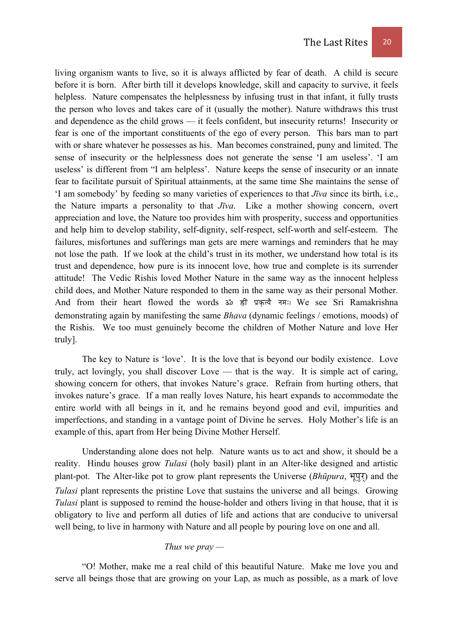living organism wants to live, so it is always afflicted by fear of death. A child is secure before it is born. After birth till it develops knowledge, skill and capacity to survive, it feels helpless. Nature compensates the helplessness by infusing trust in that infant, it fully trusts the person who loves and takes care of it (usually the mother). Nature withdraws this trust and dependence as the child grows — it feels confident, but insecurity returns! Insecurity or fear is one of the important constituents of the ego of every person. This bars man to part with or share whatever he possesses as his. Man becomes constrained, puny and limited. The sense of insecurity or the helplessness does not generate the sense 'I am useless'. 'I am useless' is different from "I am helpless'. Nature keeps the sense of insecurity or an innate fear to facilitate pursuit of Spiritual attainments, at the same time She maintains the sense of 'I am somebody' by feeding so many varieties of experiences to that *Jīva* since its birth, i.e., the Nature imparts a personality to that *Jīva*. Like a mother showing concern, overt appreciation and love, the Nature too provides him with prosperity, success and opportunities and help him to develop stability, self-dignity, self-respect, self-worth and self-esteem. The failures, misfortunes and sufferings man gets are mere warnings and reminders that he may not lose the path. If we look at the child's trust in its mother, we understand how total is its trust and dependence, how pure is its innocent love, how true and complete is its surrender attitude! The Vedic Rishis loved Mother Nature in the same way as the innocent helpless child does, and Mother Nature responded to them in the same way as their personal Mother. And from their heart flowed the words ॐ ह्रीं प्रकृत्यै नमः। We see Sri Ramakrishna demonstrating again by manifesting the same *Bhava* (dynamic feelings / emotions, moods) of the Rishis. We too must genuinely become the children of Mother Nature and love Her truly].

The key to Nature is 'love'. It is the love that is beyond our bodily existence. Love truly, act lovingly, you shall discover Love — that is the way. It is simple act of caring, showing concern for others, that invokes Nature's grace. Refrain from hurting others, that invokes nature's grace. If a man really loves Nature, his heart expands to accommodate the entire world with all beings in it, and he remains beyond good and evil, impurities and imperfections, and standing in a vantage point of Divine he serves. Holy Mother's life is an example of this, apart from Her being Divine Mother Herself.

Understanding alone does not help. Nature wants us to act and show, it should be a reality. Hindu houses grow *Tulasi* (holy basil) plant in an Alter-like designed and artistic plant-pot. The Alter-like pot to grow plant represents the Universe (*Bhūpura*,  $\Pi(\vec{x})$ ) and the *Tulasi* plant represents the pristine Love that sustains the universe and all beings. Growing *Tulasi* plant is supposed to remind the house-holder and others living in that house, that it is obligatory to live and perform all duties of life and actions that are conducive to universal well being, to live in harmony with Nature and all people by pouring love on one and all.

## *Thus we pray —*

"O! Mother, make me a real child of this beautiful Nature. Make me love you and serve all beings those that are growing on your Lap, as much as possible, as a mark of love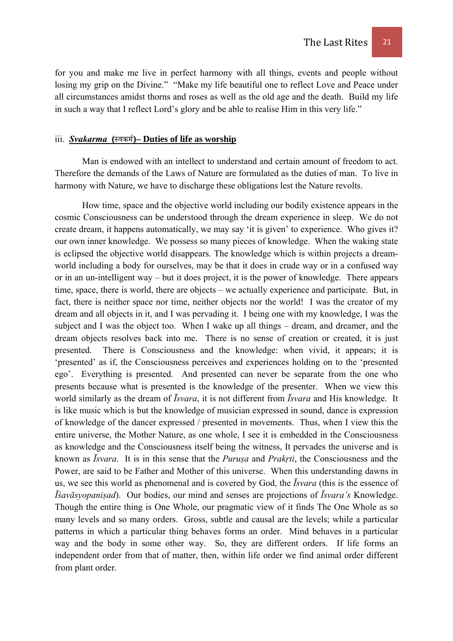for you and make me live in perfect harmony with all things, events and people without losing my grip on the Divine." "Make my life beautiful one to reflect Love and Peace under all circumstances amidst thorns and roses as well as the old age and the death. Build my life in such a way that I reflect Lord's glory and be able to realise Him in this very life."

# iii. *Svakarma* (स्वकर्म)– Duties of life as worship

Man is endowed with an intellect to understand and certain amount of freedom to act. Therefore the demands of the Laws of Nature are formulated as the duties of man. To live in harmony with Nature, we have to discharge these obligations lest the Nature revolts.

How time, space and the objective world including our bodily existence appears in the cosmic Consciousness can be understood through the dream experience in sleep. We do not create dream, it happens automatically, we may say 'it is given' to experience. Who gives it? our own inner knowledge. We possess so many pieces of knowledge. When the waking state is eclipsed the objective world disappears. The knowledge which is within projects a dreamworld including a body for ourselves, may be that it does in crude way or in a confused way or in an un-intelligent way – but it does project, it is the power of knowledge. There appears time, space, there is world, there are objects – we actually experience and participate. But, in fact, there is neither space nor time, neither objects nor the world! I was the creator of my dream and all objects in it, and I was pervading it. I being one with my knowledge, I was the subject and I was the object too. When I wake up all things – dream, and dreamer, and the dream objects resolves back into me. There is no sense of creation or created, it is just presented. There is Consciousness and the knowledge: when vivid, it appears; it is 'presented' as if, the Consciousness perceives and experiences holding on to the 'presented ego'. Everything is presented. And presented can never be separate from the one who presents because what is presented is the knowledge of the presenter. When we view this world similarly as the dream of *Īsvara*, it is not different from *Īsvara* and His knowledge. It is like music which is but the knowledge of musician expressed in sound, dance is expression of knowledge of the dancer expressed / presented in movements. Thus, when I view this the entire universe, the Mother Nature, as one whole, I see it is embedded in the Consciousness as knowledge and the Consciousness itself being the witness, It pervades the universe and is known as *Īsvara*. It is in this sense that the *Puruṣa* and *Prakṛti*, the Consciousness and the Power, are said to be Father and Mother of this universe. When this understanding dawns in us, we see this world as phenomenal and is covered by God, the *Īsvara* (this is the essence of *Īśavāsyopaniṣad*). Our bodies, our mind and senses are projections of *Īsvara's* Knowledge. Though the entire thing is One Whole, our pragmatic view of it finds The One Whole as so many levels and so many orders. Gross, subtle and causal are the levels; while a particular patterns in which a particular thing behaves forms an order. Mind behaves in a particular way and the body in some other way. So, they are different orders. If life forms an independent order from that of matter, then, within life order we find animal order different from plant order.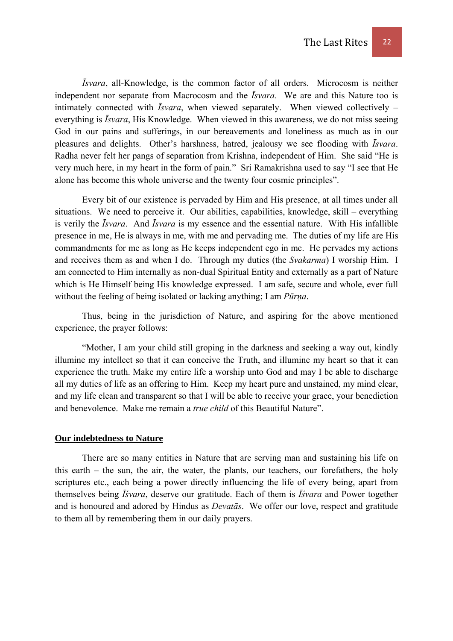*Īsvara*, all-Knowledge, is the common factor of all orders. Microcosm is neither independent nor separate from Macrocosm and the *Īsvara*. We are and this Nature too is intimately connected with *Īsvara*, when viewed separately. When viewed collectively – everything is *Īsvara*, His Knowledge. When viewed in this awareness, we do not miss seeing God in our pains and sufferings, in our bereavements and loneliness as much as in our pleasures and delights. Other's harshness, hatred, jealousy we see flooding with *Īsvara*. Radha never felt her pangs of separation from Krishna, independent of Him. She said "He is very much here, in my heart in the form of pain." Sri Ramakrishna used to say "I see that He alone has become this whole universe and the twenty four cosmic principles".

Every bit of our existence is pervaded by Him and His presence, at all times under all situations. We need to perceive it. Our abilities, capabilities, knowledge, skill – everything is verily the *Īsvara*. And *Īsvara* is my essence and the essential nature. With His infallible presence in me, He is always in me, with me and pervading me. The duties of my life are His commandments for me as long as He keeps independent ego in me. He pervades my actions and receives them as and when I do. Through my duties (the *Svakarma*) I worship Him. I am connected to Him internally as non-dual Spiritual Entity and externally as a part of Nature which is He Himself being His knowledge expressed. I am safe, secure and whole, ever full without the feeling of being isolated or lacking anything; I am *Pūrṇa*.

Thus, being in the jurisdiction of Nature, and aspiring for the above mentioned experience, the prayer follows:

"Mother, I am your child still groping in the darkness and seeking a way out, kindly illumine my intellect so that it can conceive the Truth, and illumine my heart so that it can experience the truth. Make my entire life a worship unto God and may I be able to discharge all my duties of life as an offering to Him. Keep my heart pure and unstained, my mind clear, and my life clean and transparent so that I will be able to receive your grace, your benediction and benevolence. Make me remain a *true child* of this Beautiful Nature".

#### **Our indebtedness to Nature**

There are so many entities in Nature that are serving man and sustaining his life on this earth – the sun, the air, the water, the plants, our teachers, our forefathers, the holy scriptures etc., each being a power directly influencing the life of every being, apart from themselves being *Īśvara*, deserve our gratitude. Each of them is *Īśvara* and Power together and is honoured and adored by Hindus as *Devatās*. We offer our love, respect and gratitude to them all by remembering them in our daily prayers.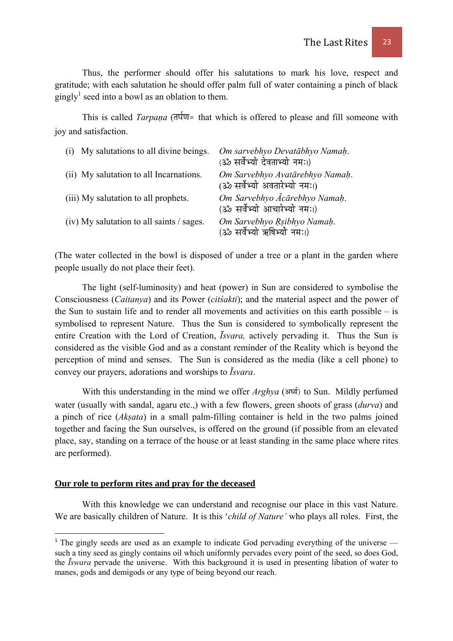Thus, the performer should offer his salutations to mark his love, respect and gratitude; with each salutation he should offer palm full of water containing a pinch of black gingly<sup>1</sup> seed into a bowl as an oblation to them.

This is called *Tarpana* ( $\frac{1}{n\sqrt{q}}$  that which is offered to please and fill someone with joy and satisfaction.

| (i) My salutations to all divine beings.  | Om sarvebhyo Devatābhyo Namah.<br>(ॐ सर्वेभ्यो देवताभ्यो नमः।)   |
|-------------------------------------------|------------------------------------------------------------------|
| (ii) My salutation to all Incarnations.   | Om Sarvebhyo Avatārebhyo Namah.<br>(ॐ सर्वेभ्यो अवतारेभ्यो नमः।) |
| (iii) My salutation to all prophets.      | Om Sarvebhyo Ācārebhyo Namah.<br>(ॐ सर्वेभ्यो आचारेभ्यो नमः।)    |
| (iv) My salutation to all saints / sages. | Om Sarvebhyo Rsibhyo Namah.<br>(ॐ सर्वेभ्यो ऋषिभ्यो नमः।)        |

(The water collected in the bowl is disposed of under a tree or a plant in the garden where people usually do not place their feet).

The light (self-luminosity) and heat (power) in Sun are considered to symbolise the Consciousness (*Caitanya*) and its Power (*citśakti*); and the material aspect and the power of the Sun to sustain life and to render all movements and activities on this earth possible – is symbolised to represent Nature. Thus the Sun is considered to symbolically represent the entire Creation with the Lord of Creation, *Īsvara,* actively pervading it. Thus the Sun is considered as the visible God and as a constant reminder of the Reality which is beyond the perception of mind and senses. The Sun is considered as the media (like a cell phone) to convey our prayers, adorations and worships to *Īsvara*.

With this understanding in the mind we offer *Arghya* (अर्घ्य) to Sun. Mildly perfumed water (usually with sandal, agaru etc.,) with a few flowers, green shoots of grass (*durva*) and a pinch of rice (*Akṣata*) in a small palm-filling container is held in the two palms joined together and facing the Sun ourselves, is offered on the ground (if possible from an elevated place, say, standing on a terrace of the house or at least standing in the same place where rites are performed).

## **Our role to perform rites and pray for the deceased**

With this knowledge we can understand and recognise our place in this vast Nature. We are basically children of Nature. It is this '*child of Nature'* who plays all roles. First, the

 $1$  The gingly seeds are used as an example to indicate God pervading everything of the universe  $$ such a tiny seed as gingly contains oil which uniformly pervades every point of the seed, so does God, the *Īswara* pervade the universe. With this background it is used in presenting libation of water to manes, gods and demigods or any type of being beyond our reach.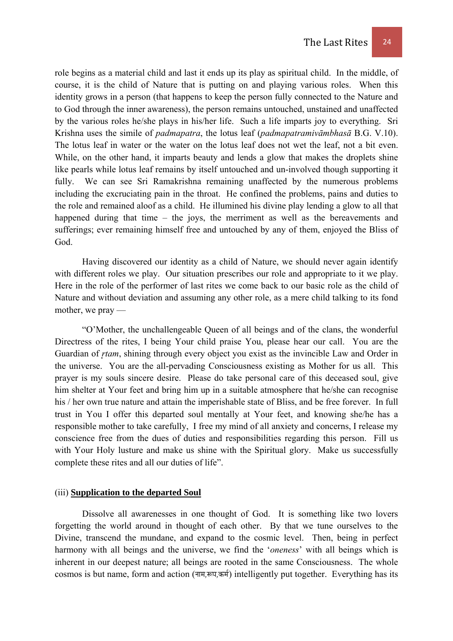role begins as a material child and last it ends up its play as spiritual child. In the middle, of course, it is the child of Nature that is putting on and playing various roles. When this identity grows in a person (that happens to keep the person fully connected to the Nature and to God through the inner awareness), the person remains untouched, unstained and unaffected by the various roles he/she plays in his/her life. Such a life imparts joy to everything. Sri Krishna uses the simile of *padmapatra*, the lotus leaf (*padmapatramivāmbhasā* B.G. V.10). The lotus leaf in water or the water on the lotus leaf does not wet the leaf, not a bit even. While, on the other hand, it imparts beauty and lends a glow that makes the droplets shine like pearls while lotus leaf remains by itself untouched and un-involved though supporting it fully. We can see Sri Ramakrishna remaining unaffected by the numerous problems including the excruciating pain in the throat. He confined the problems, pains and duties to the role and remained aloof as a child. He illumined his divine play lending a glow to all that happened during that time – the joys, the merriment as well as the bereavements and sufferings; ever remaining himself free and untouched by any of them, enjoyed the Bliss of God.

Having discovered our identity as a child of Nature, we should never again identify with different roles we play. Our situation prescribes our role and appropriate to it we play. Here in the role of the performer of last rites we come back to our basic role as the child of Nature and without deviation and assuming any other role, as a mere child talking to its fond mother, we pray —

"O'Mother, the unchallengeable Queen of all beings and of the clans, the wonderful Directress of the rites, I being Your child praise You, please hear our call. You are the Guardian of *rtam*, shining through every object you exist as the invincible Law and Order in the universe. You are the all-pervading Consciousness existing as Mother for us all. This prayer is my souls sincere desire. Please do take personal care of this deceased soul, give him shelter at Your feet and bring him up in a suitable atmosphere that he/she can recognise his / her own true nature and attain the imperishable state of Bliss, and be free forever. In full trust in You I offer this departed soul mentally at Your feet, and knowing she/he has a responsible mother to take carefully, I free my mind of all anxiety and concerns, I release my conscience free from the dues of duties and responsibilities regarding this person. Fill us with Your Holy lusture and make us shine with the Spiritual glory. Make us successfully complete these rites and all our duties of life".

## (iii) **Supplication to the departed Soul**

Dissolve all awarenesses in one thought of God. It is something like two lovers forgetting the world around in thought of each other. By that we tune ourselves to the Divine, transcend the mundane, and expand to the cosmic level. Then, being in perfect harmony with all beings and the universe, we find the '*oneness*' with all beings which is inherent in our deepest nature; all beings are rooted in the same Consciousness. The whole cosmos is but name, form and action (नाम,रूप,कर्म) intelligently put together. Everything has its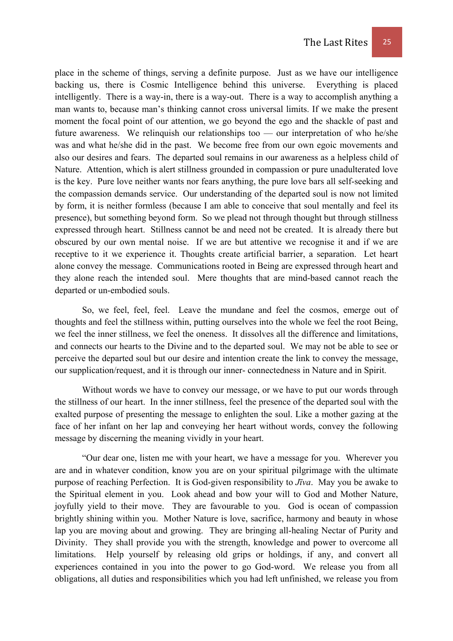place in the scheme of things, serving a definite purpose. Just as we have our intelligence backing us, there is Cosmic Intelligence behind this universe. Everything is placed intelligently. There is a way-in, there is a way-out. There is a way to accomplish anything a man wants to, because man's thinking cannot cross universal limits. If we make the present moment the focal point of our attention, we go beyond the ego and the shackle of past and future awareness. We relinquish our relationships too — our interpretation of who he/she was and what he/she did in the past. We become free from our own egoic movements and also our desires and fears. The departed soul remains in our awareness as a helpless child of Nature. Attention, which is alert stillness grounded in compassion or pure unadulterated love is the key. Pure love neither wants nor fears anything, the pure love bars all self-seeking and the compassion demands service. Our understanding of the departed soul is now not limited by form, it is neither formless (because I am able to conceive that soul mentally and feel its presence), but something beyond form. So we plead not through thought but through stillness expressed through heart. Stillness cannot be and need not be created. It is already there but obscured by our own mental noise. If we are but attentive we recognise it and if we are receptive to it we experience it. Thoughts create artificial barrier, a separation. Let heart alone convey the message. Communications rooted in Being are expressed through heart and they alone reach the intended soul. Mere thoughts that are mind-based cannot reach the departed or un-embodied souls.

So, we feel, feel, feel. Leave the mundane and feel the cosmos, emerge out of thoughts and feel the stillness within, putting ourselves into the whole we feel the root Being, we feel the inner stillness, we feel the oneness. It dissolves all the difference and limitations, and connects our hearts to the Divine and to the departed soul. We may not be able to see or perceive the departed soul but our desire and intention create the link to convey the message, our supplication/request, and it is through our inner- connectedness in Nature and in Spirit.

Without words we have to convey our message, or we have to put our words through the stillness of our heart. In the inner stillness, feel the presence of the departed soul with the exalted purpose of presenting the message to enlighten the soul. Like a mother gazing at the face of her infant on her lap and conveying her heart without words, convey the following message by discerning the meaning vividly in your heart.

"Our dear one, listen me with your heart, we have a message for you. Wherever you are and in whatever condition, know you are on your spiritual pilgrimage with the ultimate purpose of reaching Perfection. It is God-given responsibility to *Jīva*. May you be awake to the Spiritual element in you. Look ahead and bow your will to God and Mother Nature, joyfully yield to their move. They are favourable to you. God is ocean of compassion brightly shining within you. Mother Nature is love, sacrifice, harmony and beauty in whose lap you are moving about and growing. They are bringing all-healing Nectar of Purity and Divinity. They shall provide you with the strength, knowledge and power to overcome all limitations. Help yourself by releasing old grips or holdings, if any, and convert all experiences contained in you into the power to go God-word. We release you from all obligations, all duties and responsibilities which you had left unfinished, we release you from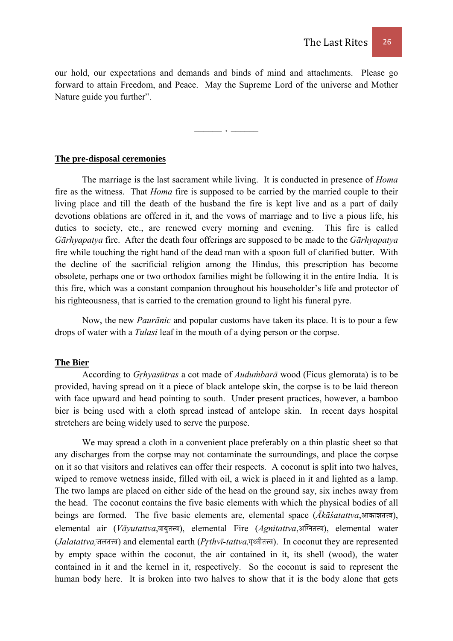our hold, our expectations and demands and binds of mind and attachments. Please go forward to attain Freedom, and Peace. May the Supreme Lord of the universe and Mother Nature guide you further".

 $\overline{\phantom{a}}$ 

#### **The pre-disposal ceremonies**

 The marriage is the last sacrament while living. It is conducted in presence of *Homa* fire as the witness. That *Homa* fire is supposed to be carried by the married couple to their living place and till the death of the husband the fire is kept live and as a part of daily devotions oblations are offered in it, and the vows of marriage and to live a pious life, his duties to society, etc., are renewed every morning and evening. This fire is called *Gārhyapatya* fire. After the death four offerings are supposed to be made to the *Gārhyapatya* fire while touching the right hand of the dead man with a spoon full of clarified butter. With the decline of the sacrificial religion among the Hindus, this prescription has become obsolete, perhaps one or two orthodox families might be following it in the entire India. It is this fire, which was a constant companion throughout his householder's life and protector of his righteousness, that is carried to the cremation ground to light his funeral pyre.

Now, the new *Paurānic* and popular customs have taken its place. It is to pour a few drops of water with a *Tulasi* leaf in the mouth of a dying person or the corpse.

## **The Bier**

 According to *Gr͎hyasūtras* a cot made of *Auduṁbarā* wood (Ficus glemorata) is to be provided, having spread on it a piece of black antelope skin, the corpse is to be laid thereon with face upward and head pointing to south. Under present practices, however, a bamboo bier is being used with a cloth spread instead of antelope skin. In recent days hospital stretchers are being widely used to serve the purpose.

 We may spread a cloth in a convenient place preferably on a thin plastic sheet so that any discharges from the corpse may not contaminate the surroundings, and place the corpse on it so that visitors and relatives can offer their respects. A coconut is split into two halves, wiped to remove wetness inside, filled with oil, a wick is placed in it and lighted as a lamp. The two lamps are placed on either side of the head on the ground say, six inches away from the head. The coconut contains the five basic elements with which the physical bodies of all beings are formed. The five basic elements are, elemental space (*Ākāśatattva*,आकाशतत्त्व), elemental air (*Vāyutattva*,वायुतत्त्व), elemental Fire (*Agnitattva*,अग्नितत्त्व), elemental water (*Jalatattva*,जलतत्त्व) and elemental earth (*Prthvī-tattva*,पृथ्वीतत्त्व). In coconut they are represented by empty space within the coconut, the air contained in it, its shell (wood), the water contained in it and the kernel in it, respectively. So the coconut is said to represent the human body here. It is broken into two halves to show that it is the body alone that gets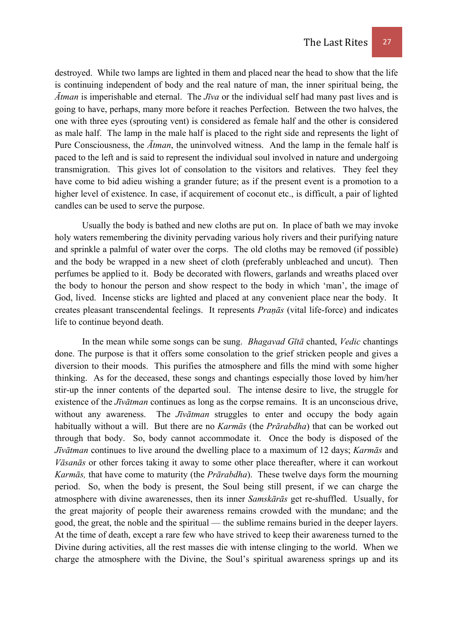destroyed. While two lamps are lighted in them and placed near the head to show that the life is continuing independent of body and the real nature of man, the inner spiritual being, the *Ātman* is imperishable and eternal. The *Jīva* or the individual self had many past lives and is going to have, perhaps, many more before it reaches Perfection. Between the two halves, the one with three eyes (sprouting vent) is considered as female half and the other is considered as male half. The lamp in the male half is placed to the right side and represents the light of Pure Consciousness, the *Ātman*, the uninvolved witness. And the lamp in the female half is paced to the left and is said to represent the individual soul involved in nature and undergoing transmigration. This gives lot of consolation to the visitors and relatives. They feel they have come to bid adieu wishing a grander future; as if the present event is a promotion to a higher level of existence. In case, if acquirement of coconut etc., is difficult, a pair of lighted candles can be used to serve the purpose.

 Usually the body is bathed and new cloths are put on. In place of bath we may invoke holy waters remembering the divinity pervading various holy rivers and their purifying nature and sprinkle a palmful of water over the corps. The old cloths may be removed (if possible) and the body be wrapped in a new sheet of cloth (preferably unbleached and uncut). Then perfumes be applied to it. Body be decorated with flowers, garlands and wreaths placed over the body to honour the person and show respect to the body in which 'man', the image of God, lived. Incense sticks are lighted and placed at any convenient place near the body. It creates pleasant transcendental feelings. It represents *Praṇās* (vital life-force) and indicates life to continue beyond death.

 In the mean while some songs can be sung. *Bhagavad Gītā* chanted, *Vedic* chantings done. The purpose is that it offers some consolation to the grief stricken people and gives a diversion to their moods. This purifies the atmosphere and fills the mind with some higher thinking. As for the deceased, these songs and chantings especially those loved by him/her stir-up the inner contents of the departed soul. The intense desire to live, the struggle for existence of the *Jīvātman* continues as long as the corpse remains. It is an unconscious drive, without any awareness. The *Jīvātman* struggles to enter and occupy the body again habitually without a will. But there are no *Karmās* (the *Prārabdha*) that can be worked out through that body. So, body cannot accommodate it. Once the body is disposed of the *Jīvātman* continues to live around the dwelling place to a maximum of 12 days; *Karmās* and *Vāsanās* or other forces taking it away to some other place thereafter, where it can workout *Karmās,* that have come to maturity (the *Prārabdha*). These twelve days form the mourning period. So, when the body is present, the Soul being still present, if we can charge the atmosphere with divine awarenesses, then its inner *Samskārās* get re-shuffled. Usually, for the great majority of people their awareness remains crowded with the mundane; and the good, the great, the noble and the spiritual — the sublime remains buried in the deeper layers. At the time of death, except a rare few who have strived to keep their awareness turned to the Divine during activities, all the rest masses die with intense clinging to the world. When we charge the atmosphere with the Divine, the Soul's spiritual awareness springs up and its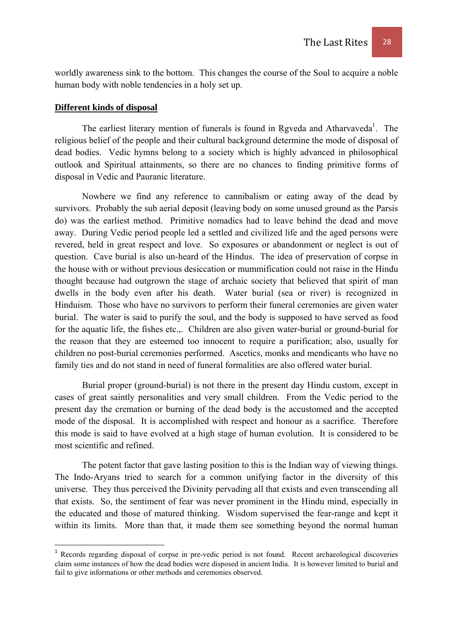worldly awareness sink to the bottom. This changes the course of the Soul to acquire a noble human body with noble tendencies in a holy set up.

#### **Different kinds of disposal**

The earliest literary mention of funerals is found in Rgveda and Atharvaveda<sup>1</sup>. The religious belief of the people and their cultural background determine the mode of disposal of dead bodies. Vedic hymns belong to a society which is highly advanced in philosophical outlook and Spiritual attainments, so there are no chances to finding primitive forms of disposal in Vedic and Pauranic literature.

Nowhere we find any reference to cannibalism or eating away of the dead by survivors. Probably the sub aerial deposit (leaving body on some unused ground as the Parsis do) was the earliest method. Primitive nomadics had to leave behind the dead and move away. During Vedic period people led a settled and civilized life and the aged persons were revered, held in great respect and love. So exposures or abandonment or neglect is out of question. Cave burial is also un-heard of the Hindus. The idea of preservation of corpse in the house with or without previous desiccation or mummification could not raise in the Hindu thought because had outgrown the stage of archaic society that believed that spirit of man dwells in the body even after his death. Water burial (sea or river) is recognized in Hinduism. Those who have no survivors to perform their funeral ceremonies are given water burial. The water is said to purify the soul, and the body is supposed to have served as food for the aquatic life, the fishes etc.,. Children are also given water-burial or ground-burial for the reason that they are esteemed too innocent to require a purification; also, usually for children no post-burial ceremonies performed. Ascetics, monks and mendicants who have no family ties and do not stand in need of funeral formalities are also offered water burial.

Burial proper (ground-burial) is not there in the present day Hindu custom, except in cases of great saintly personalities and very small children. From the Vedic period to the present day the cremation or burning of the dead body is the accustomed and the accepted mode of the disposal. It is accomplished with respect and honour as a sacrifice. Therefore this mode is said to have evolved at a high stage of human evolution. It is considered to be most scientific and refined.

The potent factor that gave lasting position to this is the Indian way of viewing things. The Indo-Aryans tried to search for a common unifying factor in the diversity of this universe. They thus perceived the Divinity pervading all that exists and even transcending all that exists. So, the sentiment of fear was never prominent in the Hindu mind, especially in the educated and those of matured thinking. Wisdom supervised the fear-range and kept it within its limits. More than that, it made them see something beyond the normal human

<sup>&</sup>lt;sup>1</sup> Records regarding disposal of corpse in pre-vedic period is not found. Recent archaeological discoveries claim some instances of how the dead bodies were disposed in ancient India. It is however limited to burial and fail to give informations or other methods and ceremonies observed.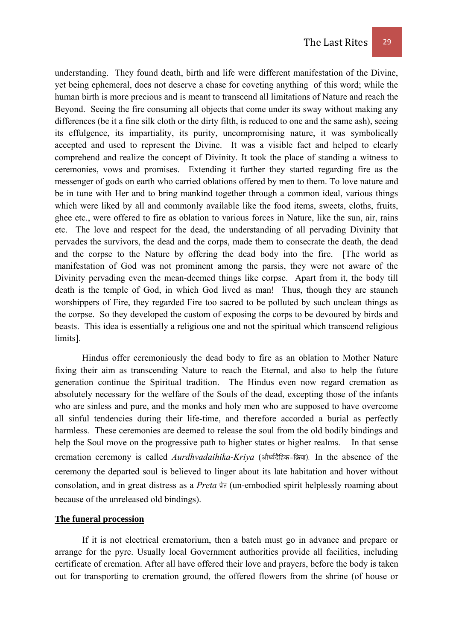understanding. They found death, birth and life were different manifestation of the Divine, yet being ephemeral, does not deserve a chase for coveting anything of this word; while the human birth is more precious and is meant to transcend all limitations of Nature and reach the Beyond. Seeing the fire consuming all objects that come under its sway without making any differences (be it a fine silk cloth or the dirty filth, is reduced to one and the same ash), seeing its effulgence, its impartiality, its purity, uncompromising nature, it was symbolically accepted and used to represent the Divine. It was a visible fact and helped to clearly comprehend and realize the concept of Divinity. It took the place of standing a witness to ceremonies, vows and promises. Extending it further they started regarding fire as the messenger of gods on earth who carried oblations offered by men to them. To love nature and be in tune with Her and to bring mankind together through a common ideal, various things which were liked by all and commonly available like the food items, sweets, cloths, fruits, ghee etc., were offered to fire as oblation to various forces in Nature, like the sun, air, rains etc. The love and respect for the dead, the understanding of all pervading Divinity that pervades the survivors, the dead and the corps, made them to consecrate the death, the dead and the corpse to the Nature by offering the dead body into the fire. [The world as manifestation of God was not prominent among the parsis, they were not aware of the Divinity pervading even the mean-deemed things like corpse. Apart from it, the body till death is the temple of God, in which God lived as man! Thus, though they are staunch worshippers of Fire, they regarded Fire too sacred to be polluted by such unclean things as the corpse. So they developed the custom of exposing the corps to be devoured by birds and beasts. This idea is essentially a religious one and not the spiritual which transcend religious limits].

Hindus offer ceremoniously the dead body to fire as an oblation to Mother Nature fixing their aim as transcending Nature to reach the Eternal, and also to help the future generation continue the Spiritual tradition. The Hindus even now regard cremation as absolutely necessary for the welfare of the Souls of the dead, excepting those of the infants who are sinless and pure, and the monks and holy men who are supposed to have overcome all sinful tendencies during their life-time, and therefore accorded a burial as perfectly harmless. These ceremonies are deemed to release the soul from the old bodily bindings and help the Soul move on the progressive path to higher states or higher realms. In that sense cremation ceremony is called *Aurdhvadaihika-Kriva* (और्ध्वदैहिक-क्रिया). In the absence of the ceremony the departed soul is believed to linger about its late habitation and hover without consolation, and in great distress as a *Preta* प्रेन (un-embodied spirit helplessly roaming about because of the unreleased old bindings).

# **The funeral procession**

If it is not electrical crematorium, then a batch must go in advance and prepare or arrange for the pyre. Usually local Government authorities provide all facilities, including certificate of cremation. After all have offered their love and prayers, before the body is taken out for transporting to cremation ground, the offered flowers from the shrine (of house or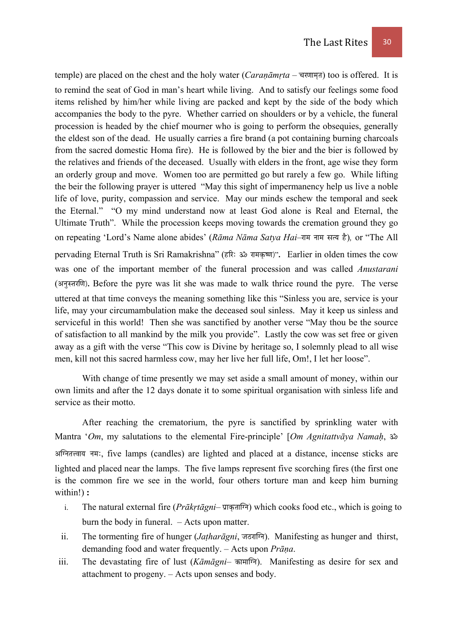temple) are placed on the chest and the holy water (*Caranāmrta* – चरणामत) too is offered. It is to remind the seat of God in man's heart while living. And to satisfy our feelings some food items relished by him/her while living are packed and kept by the side of the body which accompanies the body to the pyre. Whether carried on shoulders or by a vehicle, the funeral procession is headed by the chief mourner who is going to perform the obsequies, generally the eldest son of the dead. He usually carries a fire brand (a pot containing burning charcoals from the sacred domestic Homa fire). He is followed by the bier and the bier is followed by the relatives and friends of the deceased. Usually with elders in the front, age wise they form an orderly group and move. Women too are permitted go but rarely a few go. While lifting the beir the following prayer is uttered "May this sight of impermanency help us live a noble life of love, purity, compassion and service. May our minds eschew the temporal and seek the Eternal." "O my mind understand now at least God alone is Real and Eternal, the Ultimate Truth". While the procession keeps moving towards the cremation ground they go on repeating 'Lord's Name alone abides' (*Rāma Nāma Satya Hai*–राम नाम सत्य है), or "The All pervading Eternal Truth is Sri Ramakrishna" (हरिः ॐ रामकृष्ण)". Earlier in olden times the cow was one of the important member of the funeral procession and was called *Anustarani* (अनुस्तरणि). Before the pyre was lit she was made to walk thrice round the pyre. The verse uttered at that time conveys the meaning something like this "Sinless you are, service is your life, may your circumambulation make the deceased soul sinless. May it keep us sinless and serviceful in this world! Then she was sanctified by another verse "May thou be the source of satisfaction to all mankind by the milk you provide". Lastly the cow was set free or given away as a gift with the verse "This cow is Divine by heritage so, I solemnly plead to all wise men, kill not this sacred harmless cow, may her live her full life, Om!, I let her loose".

With change of time presently we may set aside a small amount of money, within our own limits and after the 12 days donate it to some spiritual organisation with sinless life and service as their motto.

After reaching the crematorium, the pyre is sanctified by sprinkling water with Mantra '*Om*, my salutations to the elemental Fire-principle' [*Om Agnitattvāya Namaḥ*, Á अग्नितत्त्वाय नमः, five lamps (candles) are lighted and placed at a distance, incense sticks are lighted and placed near the lamps. The five lamps represent five scorching fires (the first one is the common fire we see in the world, four others torture man and keep him burning within!) **:**

- i. The natural external fire (*Prākrtāgni* प्राकृताग्नि) which cooks food etc., which is going to burn the body in funeral. – Acts upon matter.
- ii. The tormenting fire of hunger (*Jatharāgni*, जठरागि). Manifesting as hunger and thirst, demanding food and water frequently. – Acts upon *Prāṇa*.
- iii. The devastating fire of lust (*Kāmāgni* कामानि). Manifesting as desire for sex and attachment to progeny. – Acts upon senses and body.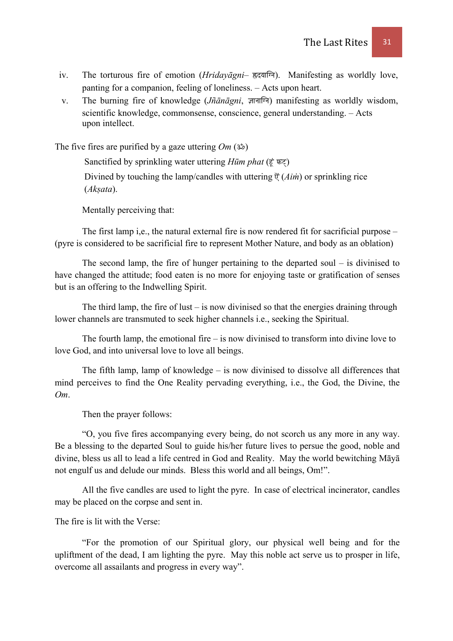- iv. The torturous fire of emotion (*Hridayāgni* ह्रदयाग्नि). Manifesting as worldly love, panting for a companion, feeling of loneliness. – Acts upon heart.
- v. The burning fire of knowledge *(Jñānāɐni*, ज्ञानाग्नि) manifesting as worldly wisdom, scientific knowledge, commonsense, conscience, general understanding. – Acts upon intellect.

The five fires are purified by a gaze uttering  $Om (3<sup>*</sup>)$ 

Sanctified by sprinkling water uttering *Hūm phat* (हूं फट्) Divined by touching the lamp/candles with uttering  $\mathfrak{F}(A\mathit{im})$  or sprinkling rice (*Akṣata*).

Mentally perceiving that:

The first lamp i,e., the natural external fire is now rendered fit for sacrificial purpose – (pyre is considered to be sacrificial fire to represent Mother Nature, and body as an oblation)

The second lamp, the fire of hunger pertaining to the departed soul – is divinised to have changed the attitude; food eaten is no more for enjoying taste or gratification of senses but is an offering to the Indwelling Spirit.

The third lamp, the fire of lust  $-$  is now divinised so that the energies draining through lower channels are transmuted to seek higher channels i.e., seeking the Spiritual.

The fourth lamp, the emotional fire – is now divinised to transform into divine love to love God, and into universal love to love all beings.

The fifth lamp, lamp of knowledge – is now divinised to dissolve all differences that mind perceives to find the One Reality pervading everything, i.e., the God, the Divine, the *Om*.

Then the prayer follows:

"O, you five fires accompanying every being, do not scorch us any more in any way. Be a blessing to the departed Soul to guide his/her future lives to persue the good, noble and divine, bless us all to lead a life centred in God and Reality. May the world bewitching Māyā not engulf us and delude our minds. Bless this world and all beings, Om!".

All the five candles are used to light the pyre. In case of electrical incinerator, candles may be placed on the corpse and sent in.

The fire is lit with the Verse:

"For the promotion of our Spiritual glory, our physical well being and for the upliftment of the dead, I am lighting the pyre. May this noble act serve us to prosper in life, overcome all assailants and progress in every way".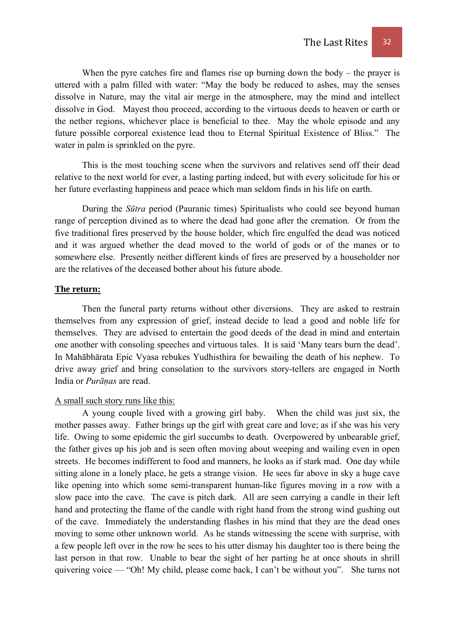When the pyre catches fire and flames rise up burning down the body – the prayer is uttered with a palm filled with water: "May the body be reduced to ashes, may the senses dissolve in Nature, may the vital air merge in the atmosphere, may the mind and intellect dissolve in God. Mayest thou proceed, according to the virtuous deeds to heaven or earth or the nether regions, whichever place is beneficial to thee. May the whole episode and any future possible corporeal existence lead thou to Eternal Spiritual Existence of Bliss." The water in palm is sprinkled on the pyre.

This is the most touching scene when the survivors and relatives send off their dead relative to the next world for ever, a lasting parting indeed, but with every solicitude for his or her future everlasting happiness and peace which man seldom finds in his life on earth.

During the *Sūtra* period (Pauranic times) Spiritualists who could see beyond human range of perception divined as to where the dead had gone after the cremation. Or from the five traditional fires preserved by the house holder, which fire engulfed the dead was noticed and it was argued whether the dead moved to the world of gods or of the manes or to somewhere else. Presently neither different kinds of fires are preserved by a householder nor are the relatives of the deceased bother about his future abode.

## **The return:**

Then the funeral party returns without other diversions. They are asked to restrain themselves from any expression of grief, instead decide to lead a good and noble life for themselves. They are advised to entertain the good deeds of the dead in mind and entertain one another with consoling speeches and virtuous tales. It is said 'Many tears burn the dead'. In Mahābhārata Epic Vyasa rebukes Yudhisthira for bewailing the death of his nephew. To drive away grief and bring consolation to the survivors story-tellers are engaged in North India or *Purāṇas* are read.

# A small such story runs like this:

 A young couple lived with a growing girl baby. When the child was just six, the mother passes away. Father brings up the girl with great care and love; as if she was his very life. Owing to some epidemic the girl succumbs to death. Overpowered by unbearable grief, the father gives up his job and is seen often moving about weeping and wailing even in open streets. He becomes indifferent to food and manners, he looks as if stark mad. One day while sitting alone in a lonely place, he gets a strange vision. He sees far above in sky a huge cave like opening into which some semi-transparent human-like figures moving in a row with a slow pace into the cave. The cave is pitch dark. All are seen carrying a candle in their left hand and protecting the flame of the candle with right hand from the strong wind gushing out of the cave. Immediately the understanding flashes in his mind that they are the dead ones moving to some other unknown world. As he stands witnessing the scene with surprise, with a few people left over in the row he sees to his utter dismay his daughter too is there being the last person in that row. Unable to bear the sight of her parting he at once shouts in shrill quivering voice — "Oh! My child, please come back, I can't be without you". She turns not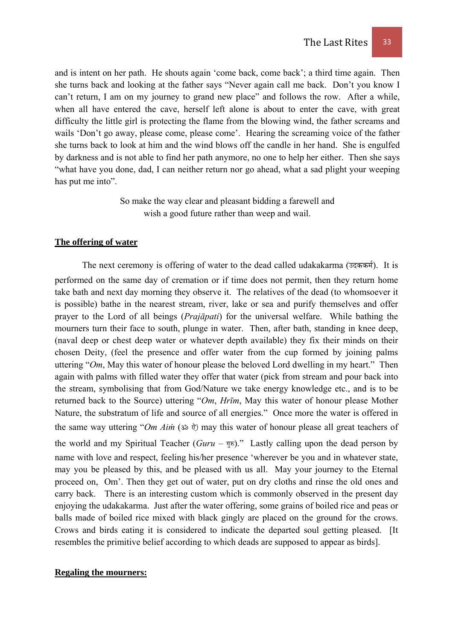and is intent on her path. He shouts again 'come back, come back'; a third time again. Then she turns back and looking at the father says "Never again call me back. Don't you know I can't return, I am on my journey to grand new place" and follows the row. After a while, when all have entered the cave, herself left alone is about to enter the cave, with great difficulty the little girl is protecting the flame from the blowing wind, the father screams and wails 'Don't go away, please come, please come'. Hearing the screaming voice of the father she turns back to look at him and the wind blows off the candle in her hand. She is engulfed by darkness and is not able to find her path anymore, no one to help her either. Then she says "what have you done, dad, I can neither return nor go ahead, what a sad plight your weeping has put me into".

> So make the way clear and pleasant bidding a farewell and wish a good future rather than weep and wail.

#### **The offering of water**

The next ceremony is offering of water to the dead called udakakarma (उदककर्म). It is performed on the same day of cremation or if time does not permit, then they return home take bath and next day morning they observe it. The relatives of the dead (to whomsoever it is possible) bathe in the nearest stream, river, lake or sea and purify themselves and offer prayer to the Lord of all beings (*Prajāpati*) for the universal welfare. While bathing the mourners turn their face to south, plunge in water. Then, after bath, standing in knee deep, (naval deep or chest deep water or whatever depth available) they fix their minds on their chosen Deity, (feel the presence and offer water from the cup formed by joining palms uttering "*Om*, May this water of honour please the beloved Lord dwelling in my heart." Then again with palms with filled water they offer that water (pick from stream and pour back into the stream, symbolising that from God/Nature we take energy knowledge etc., and is to be returned back to the Source) uttering "*Om*, *Hrīm*, May this water of honour please Mother Nature, the substratum of life and source of all energies." Once more the water is offered in the same way uttering "*Om Aim* (ॐ ऐ) may this water of honour please all great teachers of the world and my Spiritual Teacher ( $Guru - \overline{y}$ <sup>a</sup>)." Lastly calling upon the dead person by name with love and respect, feeling his/her presence 'wherever be you and in whatever state, may you be pleased by this, and be pleased with us all. May your journey to the Eternal proceed on, Om'. Then they get out of water, put on dry cloths and rinse the old ones and carry back. There is an interesting custom which is commonly observed in the present day enjoying the udakakarma. Just after the water offering, some grains of boiled rice and peas or balls made of boiled rice mixed with black gingly are placed on the ground for the crows. Crows and birds eating it is considered to indicate the departed soul getting pleased. [It resembles the primitive belief according to which deads are supposed to appear as birds].

## **Regaling the mourners:**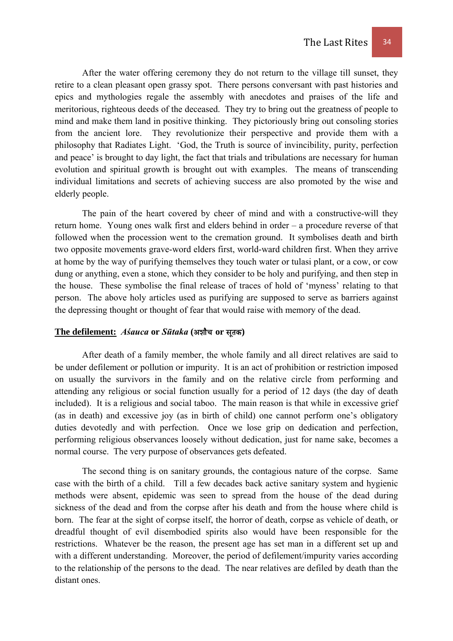After the water offering ceremony they do not return to the village till sunset, they retire to a clean pleasant open grassy spot. There persons conversant with past histories and epics and mythologies regale the assembly with anecdotes and praises of the life and meritorious, righteous deeds of the deceased. They try to bring out the greatness of people to mind and make them land in positive thinking. They pictoriously bring out consoling stories from the ancient lore. They revolutionize their perspective and provide them with a philosophy that Radiates Light. 'God, the Truth is source of invincibility, purity, perfection and peace' is brought to day light, the fact that trials and tribulations are necessary for human evolution and spiritual growth is brought out with examples. The means of transcending individual limitations and secrets of achieving success are also promoted by the wise and elderly people.

 The pain of the heart covered by cheer of mind and with a constructive-will they return home. Young ones walk first and elders behind in order – a procedure reverse of that followed when the procession went to the cremation ground. It symbolises death and birth two opposite movements grave-word elders first, world-ward children first. When they arrive at home by the way of purifying themselves they touch water or tulasi plant, or a cow, or cow dung or anything, even a stone, which they consider to be holy and purifying, and then step in the house. These symbolise the final release of traces of hold of 'myness' relating to that person. The above holy articles used as purifying are supposed to serve as barriers against the depressing thought or thought of fear that would raise with memory of the dead.

#### *The defilement: Asquea* or *Sūtaka* (अशौच or सूतक)

 After death of a family member, the whole family and all direct relatives are said to be under defilement or pollution or impurity. It is an act of prohibition or restriction imposed on usually the survivors in the family and on the relative circle from performing and attending any religious or social function usually for a period of 12 days (the day of death included). It is a religious and social taboo. The main reason is that while in excessive grief (as in death) and excessive joy (as in birth of child) one cannot perform one's obligatory duties devotedly and with perfection. Once we lose grip on dedication and perfection, performing religious observances loosely without dedication, just for name sake, becomes a normal course. The very purpose of observances gets defeated.

 The second thing is on sanitary grounds, the contagious nature of the corpse. Same case with the birth of a child. Till a few decades back active sanitary system and hygienic methods were absent, epidemic was seen to spread from the house of the dead during sickness of the dead and from the corpse after his death and from the house where child is born. The fear at the sight of corpse itself, the horror of death, corpse as vehicle of death, or dreadful thought of evil disembodied spirits also would have been responsible for the restrictions. Whatever be the reason, the present age has set man in a different set up and with a different understanding. Moreover, the period of defilement/impurity varies according to the relationship of the persons to the dead. The near relatives are defiled by death than the distant ones.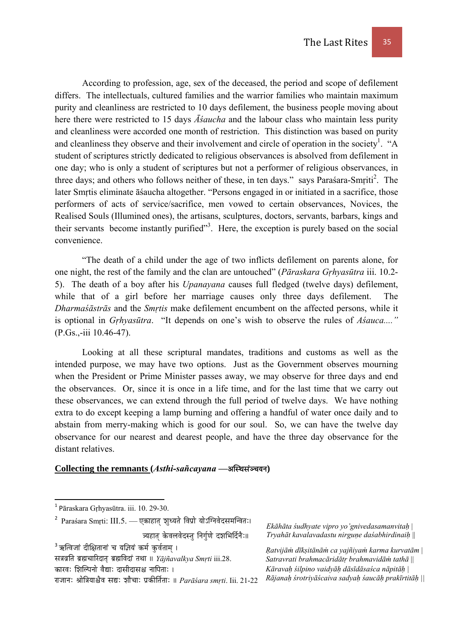According to profession, age, sex of the deceased, the period and scope of defilement differs. The intellectuals, cultured families and the warrior families who maintain maximum purity and cleanliness are restricted to 10 days defilement, the business people moving about here there were restricted to 15 days *Āśaucha* and the labour class who maintain less purity and cleanliness were accorded one month of restriction. This distinction was based on purity and cleanliness they observe and their involvement and circle of operation in the society<sup>1</sup>. "A student of scriptures strictly dedicated to religious observances is absolved from defilement in one day; who is only a student of scriptures but not a performer of religious observances, in three days; and others who follows neither of these, in ten days." says Parasara-Smṛiti<sup>2</sup>. The later Smṛtis eliminate āśaucha altogether. "Persons engaged in or initiated in a sacrifice, those performers of acts of service/sacrifice, men vowed to certain observances, Novices, the Realised Souls (Illumined ones), the artisans, sculptures, doctors, servants, barbars, kings and their servants become instantly purified"<sup>3</sup>. Here, the exception is purely based on the social convenience.

 "The death of a child under the age of two inflicts defilement on parents alone, for one night, the rest of the family and the clan are untouched" (*Pāraskara Gṛhyasūtra* iii. 10.2- 5). The death of a boy after his *Upanayana* causes full fledged (twelve days) defilement, while that of a girl before her marriage causes only three days defilement. The *Dharmaśāstrās* and the *Smṛtis* make defilement encumbent on the affected persons, while it is optional in *Gṛhyasūtra*. "It depends on one's wish to observe the rules of *Aśauca...."*  (P.Gs.,-iii 10.46-47).

 Looking at all these scriptural mandates, traditions and customs as well as the intended purpose, we may have two options. Just as the Government observes mourning when the President or Prime Minister passes away, we may observe for three days and end the observances. Or, since it is once in a life time, and for the last time that we carry out these observances, we can extend through the full period of twelve days. We have nothing extra to do except keeping a lamp burning and offering a handful of water once daily and to abstain from merry-making which is good for our soul. So, we can have the twelve day observance for our nearest and dearest people, and have the three day observance for the distant relatives.

### **Collecting the remnants (Asthi-sañcayana —अस्थिसंञ्चयन)**

त्र्यहात् केवलवेदस्तु निर्गुणे दशभिर्दिनैः॥

xɧÉuÉëÌiÉ oÉë¼cÉÉËUSÉiÉ× oÉë¼ÌuÉSÉÇ iÉjÉÉ || *Yājñavalkya Smṛti* iii.28.

*Ekāhāta śudhyate vipro yo'gnivedasamanvitaḥ* | *Tryahāt kavalavadastu nirguṇe daśabhirdinaiḥ* ||

*Ṛatvijāṁ dīkṣitānāṁ ca yajñiyaṁ karma kurvatām* | *Satravrati brahmacāridātṛ brahmavidāṁ tathā* || *Kāravaḥ śilpino vaidyāḥ dāsīdāsaśca nāpitāḥ | Rājanaḥ śrotriyāścaiva sadyaḥ śaucāḥ prakīrtitāḥ ||* 

 <sup>1</sup> Pāraskara Gṛhyasūtra. iii. 10. 29-30.

 $^{\mathsf{2}}$  Paraśara Smṛti: III.5. — एकाहात् शुध्यते विप्रो योऽग्निवेदसमन्वितः।

 $^3$ ऋत्विजां दीक्षितानां च यज़ियं कर्म कुर्वताम् ।

कारवः शिल्पिनो वैद्याः दासीदासश्च नापिताः ।

UÉeÉÉlÉÈ ´ÉÉå̧ÉrÉɶɿuÉ xÉ±È zÉÉæcÉÉÈ mÉëMüÐÌiÉïiÉÉÈ || *Parāśara smṛti*. Iii. 21-22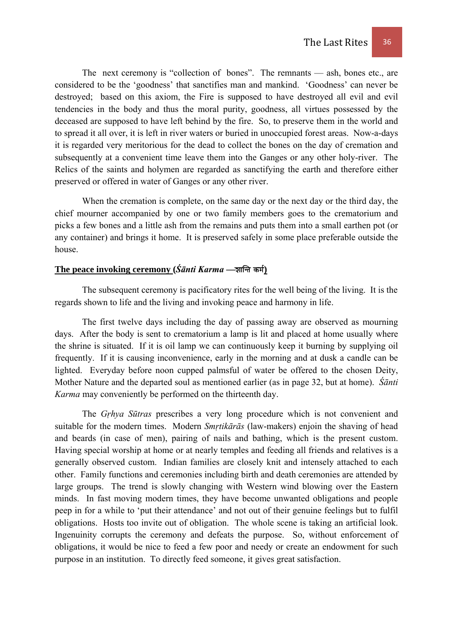The next ceremony is "collection of bones". The remnants — ash, bones etc., are considered to be the 'goodness' that sanctifies man and mankind. 'Goodness' can never be destroyed; based on this axiom, the Fire is supposed to have destroyed all evil and evil tendencies in the body and thus the moral purity, goodness, all virtues possessed by the deceased are supposed to have left behind by the fire. So, to preserve them in the world and to spread it all over, it is left in river waters or buried in unoccupied forest areas. Now-a-days it is regarded very meritorious for the dead to collect the bones on the day of cremation and subsequently at a convenient time leave them into the Ganges or any other holy-river. The Relics of the saints and holymen are regarded as sanctifying the earth and therefore either preserved or offered in water of Ganges or any other river.

 When the cremation is complete, on the same day or the next day or the third day, the chief mourner accompanied by one or two family members goes to the crematorium and picks a few bones and a little ash from the remains and puts them into a small earthen pot (or any container) and brings it home. It is preserved safely in some place preferable outside the house.

# The peace invoking ceremony (*Śānti Karma* — शान्ति कर्म)

 The subsequent ceremony is pacificatory rites for the well being of the living. It is the regards shown to life and the living and invoking peace and harmony in life.

 The first twelve days including the day of passing away are observed as mourning days. After the body is sent to crematorium a lamp is lit and placed at home usually where the shrine is situated. If it is oil lamp we can continuously keep it burning by supplying oil frequently. If it is causing inconvenience, early in the morning and at dusk a candle can be lighted. Everyday before noon cupped palmsful of water be offered to the chosen Deity, Mother Nature and the departed soul as mentioned earlier (as in page 32, but at home). *Śānti Karma* may conveniently be performed on the thirteenth day.

 The *Gṛhya Sūtras* prescribes a very long procedure which is not convenient and suitable for the modern times. Modern *Smṛtikārās* (law-makers) enjoin the shaving of head and beards (in case of men), pairing of nails and bathing, which is the present custom. Having special worship at home or at nearly temples and feeding all friends and relatives is a generally observed custom. Indian families are closely knit and intensely attached to each other. Family functions and ceremonies including birth and death ceremonies are attended by large groups. The trend is slowly changing with Western wind blowing over the Eastern minds. In fast moving modern times, they have become unwanted obligations and people peep in for a while to 'put their attendance' and not out of their genuine feelings but to fulfil obligations. Hosts too invite out of obligation. The whole scene is taking an artificial look. Ingenuinity corrupts the ceremony and defeats the purpose. So, without enforcement of obligations, it would be nice to feed a few poor and needy or create an endowment for such purpose in an institution. To directly feed someone, it gives great satisfaction.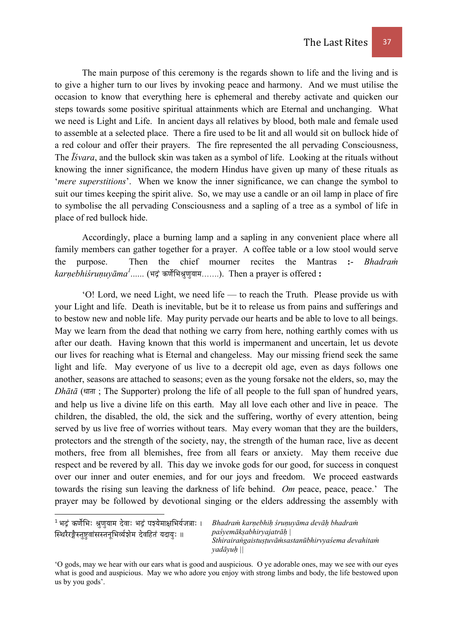The main purpose of this ceremony is the regards shown to life and the living and is to give a higher turn to our lives by invoking peace and harmony. And we must utilise the occasion to know that everything here is ephemeral and thereby activate and quicken our steps towards some positive spiritual attainments which are Eternal and unchanging. What we need is Light and Life. In ancient days all relatives by blood, both male and female used to assemble at a selected place. There a fire used to be lit and all would sit on bullock hide of a red colour and offer their prayers. The fire represented the all pervading Consciousness, The *Īśvara*, and the bullock skin was taken as a symbol of life. Looking at the rituals without knowing the inner significance, the modern Hindus have given up many of these rituals as '*mere superstitions*'. When we know the inner significance, we can change the symbol to suit our times keeping the spirit alive. So, we may use a candle or an oil lamp in place of fire to symbolise the all pervading Consciousness and a sapling of a tree as a symbol of life in place of red bullock hide.

 Accordingly, place a burning lamp and a sapling in any convenient place where all family members can gather together for a prayer. A coffee table or a low stool would serve the purpose. Then the chief mourner recites the Mantras **:**- *Bhadraṁ*  $\mathit{karnebhi}$ *śruṇuy* $\bar{\mathit{a}}\mathit{ma}^{\mathit{1}}$ *......* (भद्रं कर्णेभिश्रुणुयाम…….). Then a prayer is offered  $:$ 

 'O! Lord, we need Light, we need life — to reach the Truth. Please provide us with your Light and life. Death is inevitable, but be it to release us from pains and sufferings and to bestow new and noble life. May purity pervade our hearts and be able to love to all beings. May we learn from the dead that nothing we carry from here, nothing earthly comes with us after our death. Having known that this world is impermanent and uncertain, let us devote our lives for reaching what is Eternal and changeless. May our missing friend seek the same light and life. May everyone of us live to a decrepit old age, even as days follows one another, seasons are attached to seasons; even as the young forsake not the elders, so, may the  $Dh\bar{a}t\bar{a}$  (धाता; The Supporter) prolong the life of all people to the full span of hundred years, and help us live a divine life on this earth. May all love each other and live in peace. The children, the disabled, the old, the sick and the suffering, worthy of every attention, being served by us live free of worries without tears. May every woman that they are the builders, protectors and the strength of the society, nay, the strength of the human race, live as decent mothers, free from all blemishes, free from all fears or anxiety. May them receive due respect and be revered by all. This day we invoke gods for our good, for success in conquest over our inner and outer enemies, and for our joys and freedom. We proceed eastwards towards the rising sun leaving the darkness of life behind. *Om* peace, peace, peace.' The prayer may be followed by devotional singing or the elders addressing the assembly with

*Bhadraṁ karṇebhiḥ śruṇuyāma devāḥ bhadraṁ paśyemākṣabhiryajatrāḥ | Sthirairaṅgaistuṣṭuvāṁsastanūbhirvyaśema devahitaṁ yadāyuḥ ||* 

 $^1$ भदं कर्णेभिः श्रणयाम देवाः भदं पञ्येमाक्षभिर्यजत्राः । स्थिरैरङ्गैस्तष्टवांसस्तनभिर्व्यशेम देवहितं यदायः ॥

<sup>&#</sup>x27;O gods, may we hear with our ears what is good and auspicious. O ye adorable ones, may we see with our eyes what is good and auspicious. May we who adore you enjoy with strong limbs and body, the life bestowed upon us by you gods'.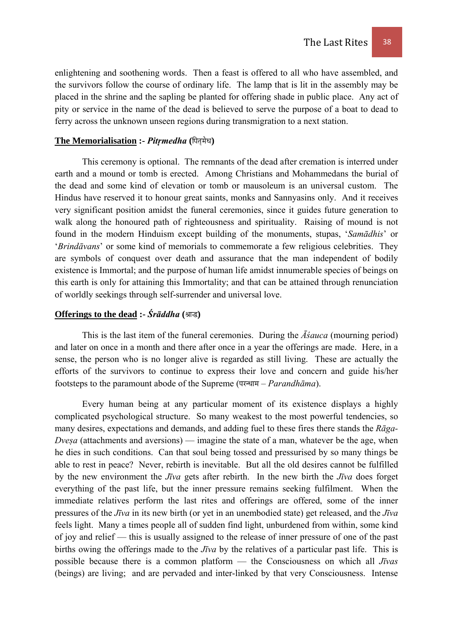enlightening and soothening words. Then a feast is offered to all who have assembled, and the survivors follow the course of ordinary life. The lamp that is lit in the assembly may be placed in the shrine and the sapling be planted for offering shade in public place. Any act of pity or service in the name of the dead is believed to serve the purpose of a boat to dead to ferry across the unknown unseen regions during transmigration to a next station.

#### The Memorialisation :- Pitrmedha (पितमेध)

This ceremony is optional. The remnants of the dead after cremation is interred under earth and a mound or tomb is erected. Among Christians and Mohammedans the burial of the dead and some kind of elevation or tomb or mausoleum is an universal custom. The Hindus have reserved it to honour great saints, monks and Sannyasins only. And it receives very significant position amidst the funeral ceremonies, since it guides future generation to walk along the honoured path of righteousness and spirituality. Raising of mound is not found in the modern Hinduism except building of the monuments, stupas, '*Samādhis*' or '*Brindāvans*' or some kind of memorials to commemorate a few religious celebrities. They are symbols of conquest over death and assurance that the man independent of bodily existence is Immortal; and the purpose of human life amidst innumerable species of beings on this earth is only for attaining this Immortality; and that can be attained through renunciation of worldly seekings through self-surrender and universal love.

# **Offerings to the dead :-**  $\acute{S}$ *rāddha* **(श्राद्ध)**

This is the last item of the funeral ceremonies. During the *Āśauca* (mourning period) and later on once in a month and there after once in a year the offerings are made. Here, in a sense, the person who is no longer alive is regarded as still living. These are actually the efforts of the survivors to continue to express their love and concern and guide his/her footsteps to the paramount abode of the Supreme (परन्धाम – *Parandhāma*).

 Every human being at any particular moment of its existence displays a highly complicated psychological structure. So many weakest to the most powerful tendencies, so many desires, expectations and demands, and adding fuel to these fires there stands the *Rāga-Dvesa* (attachments and aversions) — imagine the state of a man, whatever be the age, when he dies in such conditions. Can that soul being tossed and pressurised by so many things be able to rest in peace? Never, rebirth is inevitable. But all the old desires cannot be fulfilled by the new environment the *Jīva* gets after rebirth. In the new birth the *Jīva* does forget everything of the past life, but the inner pressure remains seeking fulfilment. When the immediate relatives perform the last rites and offerings are offered, some of the inner pressures of the *Jīva* in its new birth (or yet in an unembodied state) get released, and the *Jīva* feels light. Many a times people all of sudden find light, unburdened from within, some kind of joy and relief — this is usually assigned to the release of inner pressure of one of the past births owing the offerings made to the *Jīva* by the relatives of a particular past life. This is possible because there is a common platform — the Consciousness on which all *Jīvas* (beings) are living; and are pervaded and inter-linked by that very Consciousness. Intense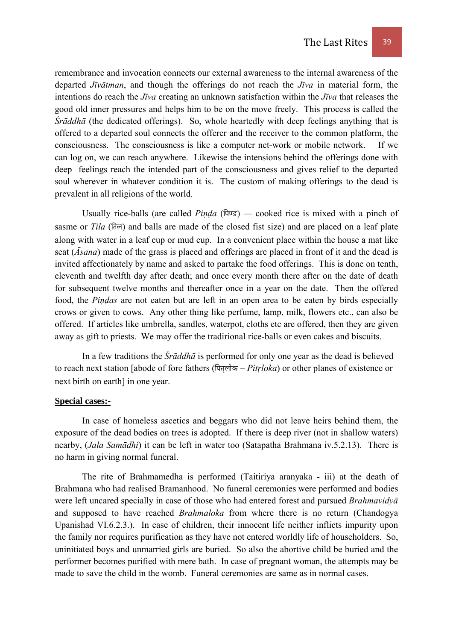remembrance and invocation connects our external awareness to the internal awareness of the departed *Jīvātman*, and though the offerings do not reach the *Jīva* in material form, the intentions do reach the *Jīva* creating an unknown satisfaction within the *Jīva* that releases the good old inner pressures and helps him to be on the move freely. This process is called the *Śrāddhā* (the dedicated offerings). So, whole heartedly with deep feelings anything that is offered to a departed soul connects the offerer and the receiver to the common platform, the consciousness. The consciousness is like a computer net-work or mobile network. If we can log on, we can reach anywhere. Likewise the intensions behind the offerings done with deep feelings reach the intended part of the consciousness and gives relief to the departed soul wherever in whatever condition it is. The custom of making offerings to the dead is prevalent in all religions of the world.

Usually rice-balls (are called *Pinda*  $(\overline{\mu}\overline{v}\overline{s})$   $-$  cooked rice is mixed with a pinch of sasme or *Tila* (तिल) and balls are made of the closed fist size) and are placed on a leaf plate along with water in a leaf cup or mud cup. In a convenient place within the house a mat like seat (*Āsana*) made of the grass is placed and offerings are placed in front of it and the dead is invited affectionately by name and asked to partake the food offerings. This is done on tenth, eleventh and twelfth day after death; and once every month there after on the date of death for subsequent twelve months and thereafter once in a year on the date. Then the offered food, the *Piṇḍas* are not eaten but are left in an open area to be eaten by birds especially crows or given to cows. Any other thing like perfume, lamp, milk, flowers etc., can also be offered. If articles like umbrella, sandles, waterpot, cloths etc are offered, then they are given away as gift to priests. We may offer the tradirional rice-balls or even cakes and biscuits.

 In a few traditions the *Śrāddhā* is performed for only one year as the dead is believed to reach next station [abode of fore fathers (पितृलोक – *Pitrloka*) or other planes of existence or next birth on earth] in one year.

#### **Special cases:-**

In case of homeless ascetics and beggars who did not leave heirs behind them, the exposure of the dead bodies on trees is adopted. If there is deep river (not in shallow waters) nearby, (*Jala Samādhi*) it can be left in water too (Satapatha Brahmana iv.5.2.13). There is no harm in giving normal funeral.

 The rite of Brahmamedha is performed (Taitiriya aranyaka - iii) at the death of Brahmana who had realised Bramanhood. No funeral ceremonies were performed and bodies were left uncared specially in case of those who had entered forest and pursued *Brahmavidyā* and supposed to have reached *Brahmaloka* from where there is no return (Chandogya Upanishad VI.6.2.3.). In case of children, their innocent life neither inflicts impurity upon the family nor requires purification as they have not entered worldly life of householders. So, uninitiated boys and unmarried girls are buried. So also the abortive child be buried and the performer becomes purified with mere bath. In case of pregnant woman, the attempts may be made to save the child in the womb. Funeral ceremonies are same as in normal cases.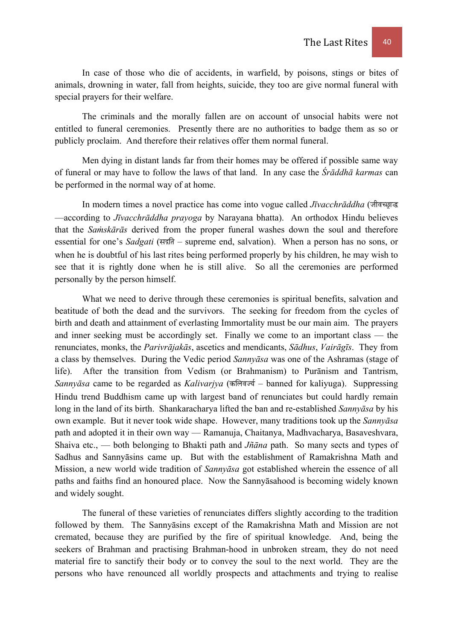In case of those who die of accidents, in warfield, by poisons, stings or bites of animals, drowning in water, fall from heights, suicide, they too are give normal funeral with special prayers for their welfare.

 The criminals and the morally fallen are on account of unsocial habits were not entitled to funeral ceremonies. Presently there are no authorities to badge them as so or publicly proclaim. And therefore their relatives offer them normal funeral.

 Men dying in distant lands far from their homes may be offered if possible same way of funeral or may have to follow the laws of that land. In any case the *Śrāddhā karmas* can be performed in the normal way of at home.

In modern times a novel practice has come into vogue called *Jīvacchrāddha* (जीवच्छाद्ध —according to *Jīvacchrāddha prayoga* by Narayana bhatta). An orthodox Hindu believes that the *Saṁskārās* derived from the proper funeral washes down the soul and therefore essential for one's *Sadgati* (सद्गति – supreme end, salvation). When a person has no sons, or when he is doubtful of his last rites being performed properly by his children, he may wish to see that it is rightly done when he is still alive. So all the ceremonies are performed personally by the person himself.

What we need to derive through these ceremonies is spiritual benefits, salvation and beatitude of both the dead and the survivors. The seeking for freedom from the cycles of birth and death and attainment of everlasting Immortality must be our main aim. The prayers and inner seeking must be accordingly set. Finally we come to an important class — the renunciates, monks, the *Parivrājakās*, ascetics and mendicants, *Sādhus*, *Vairāgīs*. They from a class by themselves. During the Vedic period *Sannyāsa* was one of the Ashramas (stage of life). After the transition from Vedism (or Brahmanism) to Purānism and Tantrism, *Sannyāsa* came to be regarded as *Kalivarjya* (कलिवर्ज्य – banned for kaliyuga). Suppressing Hindu trend Buddhism came up with largest band of renunciates but could hardly remain long in the land of its birth. Shankaracharya lifted the ban and re-established *Sannyāsa* by his own example. But it never took wide shape. However, many traditions took up the *Sannyāsa* path and adopted it in their own way — Ramanuja, Chaitanya, Madhvacharya, Basaveshvara, Shaiva etc., — both belonging to Bhakti path and *Jñāna* path. So many sects and types of Sadhus and Sannyāsins came up. But with the establishment of Ramakrishna Math and Mission, a new world wide tradition of *Sannyāsa* got established wherein the essence of all paths and faiths find an honoured place. Now the Sannyāsahood is becoming widely known and widely sought.

 The funeral of these varieties of renunciates differs slightly according to the tradition followed by them. The Sannyāsins except of the Ramakrishna Math and Mission are not cremated, because they are purified by the fire of spiritual knowledge. And, being the seekers of Brahman and practising Brahman-hood in unbroken stream, they do not need material fire to sanctify their body or to convey the soul to the next world. They are the persons who have renounced all worldly prospects and attachments and trying to realise